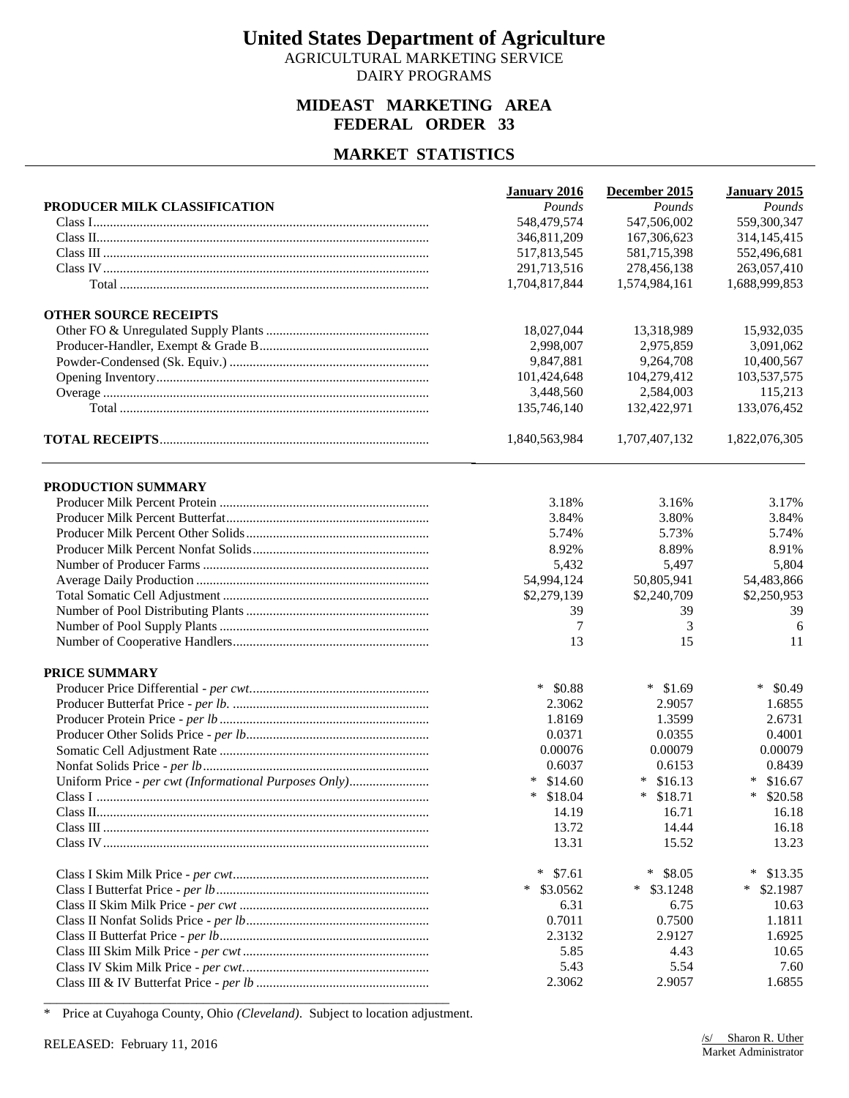AGRICULTURAL MARKETING SERVICE DAIRY PROGRAMS

#### **MIDEAST MARKETING AREA FEDERAL ORDER 33**

### **MARKET STATISTICS**

| PRODUCER MILK CLASSIFICATION<br>Pounds<br>Pounds<br>Pounds<br>548,479,574<br>547,506,002<br>559,300,347<br>167,306,623<br>314, 145, 415<br>346,811,209<br>517,813,545<br>581,715,398<br>552,496,681<br>291,713,516<br>278,456,138<br>263,057,410<br>1,704,817,844<br>1,574,984,161<br>1,688,999,853<br><b>OTHER SOURCE RECEIPTS</b><br>18,027,044<br>13,318,989<br>15,932,035<br>2,998,007<br>2,975,859<br>3,091,062<br>10,400,567<br>9,847,881<br>9,264,708<br>101,424,648<br>103,537,575<br>104,279,412<br>3,448,560<br>2,584,003<br>115,213<br>133,076,452<br>135,746,140<br>132,422,971<br>1,822,076,305<br>1,840,563,984<br>1,707,407,132<br>PRODUCTION SUMMARY<br>3.17%<br>3.18%<br>3.16%<br>3.84%<br>3.80%<br>3.84%<br>5.74%<br>5.73%<br>5.74%<br>8.92%<br>8.89%<br>8.91%<br>5,432<br>5,497<br>5,804<br>54,994,124<br>50,805,941<br>54,483,866<br>\$2,279,139<br>\$2,240,709<br>\$2,250,953<br>39<br>39<br>39<br>3<br>7<br>6<br>11<br>13<br>15<br><b>PRICE SUMMARY</b><br>$*$ \$0.88<br>$*$ \$1.69<br>$\ast$<br>\$0.49<br>2.3062<br>2.9057<br>1.6855<br>1.8169<br>1.3599<br>2.6731<br>0.4001<br>0.0371<br>0.0355<br>0.00079<br>0.00076<br>0.00079<br>0.6037<br>0.6153<br>0.8439<br>Uniform Price - per cwt (Informational Purposes Only)<br>$*$ \$16.13<br>$*$ \$14.60<br>$\ast$<br>\$16.67<br>$*$ \$18.71<br>$\ast$<br>$*$ \$18.04<br>\$20.58<br>14.19<br>16.71<br>16.18<br>14.44<br>13.72<br>16.18<br>13.31<br>15.52<br>13.23<br>$*$ \$8.05<br>$\ast$<br>\$7.61<br>$\ast$<br>\$13.35<br>$*$ \$3.1248<br>$*$ \$3.0562<br>*<br>\$2.1987<br>6.31<br>6.75<br>10.63<br>0.7011<br>0.7500<br>1.1811<br>2.9127<br>2.3132<br>1.6925<br>5.85<br>4.43<br>10.65<br>5.43<br>5.54<br>7.60<br>2.3062<br>2.9057<br>1.6855 | January 2016 | December 2015 | January 2015 |
|--------------------------------------------------------------------------------------------------------------------------------------------------------------------------------------------------------------------------------------------------------------------------------------------------------------------------------------------------------------------------------------------------------------------------------------------------------------------------------------------------------------------------------------------------------------------------------------------------------------------------------------------------------------------------------------------------------------------------------------------------------------------------------------------------------------------------------------------------------------------------------------------------------------------------------------------------------------------------------------------------------------------------------------------------------------------------------------------------------------------------------------------------------------------------------------------------------------------------------------------------------------------------------------------------------------------------------------------------------------------------------------------------------------------------------------------------------------------------------------------------------------------------------------------------------------------------------------------------------------------------------------------------------------------------------------------------------------------|--------------|---------------|--------------|
|                                                                                                                                                                                                                                                                                                                                                                                                                                                                                                                                                                                                                                                                                                                                                                                                                                                                                                                                                                                                                                                                                                                                                                                                                                                                                                                                                                                                                                                                                                                                                                                                                                                                                                                    |              |               |              |
|                                                                                                                                                                                                                                                                                                                                                                                                                                                                                                                                                                                                                                                                                                                                                                                                                                                                                                                                                                                                                                                                                                                                                                                                                                                                                                                                                                                                                                                                                                                                                                                                                                                                                                                    |              |               |              |
|                                                                                                                                                                                                                                                                                                                                                                                                                                                                                                                                                                                                                                                                                                                                                                                                                                                                                                                                                                                                                                                                                                                                                                                                                                                                                                                                                                                                                                                                                                                                                                                                                                                                                                                    |              |               |              |
|                                                                                                                                                                                                                                                                                                                                                                                                                                                                                                                                                                                                                                                                                                                                                                                                                                                                                                                                                                                                                                                                                                                                                                                                                                                                                                                                                                                                                                                                                                                                                                                                                                                                                                                    |              |               |              |
|                                                                                                                                                                                                                                                                                                                                                                                                                                                                                                                                                                                                                                                                                                                                                                                                                                                                                                                                                                                                                                                                                                                                                                                                                                                                                                                                                                                                                                                                                                                                                                                                                                                                                                                    |              |               |              |
|                                                                                                                                                                                                                                                                                                                                                                                                                                                                                                                                                                                                                                                                                                                                                                                                                                                                                                                                                                                                                                                                                                                                                                                                                                                                                                                                                                                                                                                                                                                                                                                                                                                                                                                    |              |               |              |
|                                                                                                                                                                                                                                                                                                                                                                                                                                                                                                                                                                                                                                                                                                                                                                                                                                                                                                                                                                                                                                                                                                                                                                                                                                                                                                                                                                                                                                                                                                                                                                                                                                                                                                                    |              |               |              |
|                                                                                                                                                                                                                                                                                                                                                                                                                                                                                                                                                                                                                                                                                                                                                                                                                                                                                                                                                                                                                                                                                                                                                                                                                                                                                                                                                                                                                                                                                                                                                                                                                                                                                                                    |              |               |              |
|                                                                                                                                                                                                                                                                                                                                                                                                                                                                                                                                                                                                                                                                                                                                                                                                                                                                                                                                                                                                                                                                                                                                                                                                                                                                                                                                                                                                                                                                                                                                                                                                                                                                                                                    |              |               |              |
|                                                                                                                                                                                                                                                                                                                                                                                                                                                                                                                                                                                                                                                                                                                                                                                                                                                                                                                                                                                                                                                                                                                                                                                                                                                                                                                                                                                                                                                                                                                                                                                                                                                                                                                    |              |               |              |
|                                                                                                                                                                                                                                                                                                                                                                                                                                                                                                                                                                                                                                                                                                                                                                                                                                                                                                                                                                                                                                                                                                                                                                                                                                                                                                                                                                                                                                                                                                                                                                                                                                                                                                                    |              |               |              |
|                                                                                                                                                                                                                                                                                                                                                                                                                                                                                                                                                                                                                                                                                                                                                                                                                                                                                                                                                                                                                                                                                                                                                                                                                                                                                                                                                                                                                                                                                                                                                                                                                                                                                                                    |              |               |              |
|                                                                                                                                                                                                                                                                                                                                                                                                                                                                                                                                                                                                                                                                                                                                                                                                                                                                                                                                                                                                                                                                                                                                                                                                                                                                                                                                                                                                                                                                                                                                                                                                                                                                                                                    |              |               |              |
|                                                                                                                                                                                                                                                                                                                                                                                                                                                                                                                                                                                                                                                                                                                                                                                                                                                                                                                                                                                                                                                                                                                                                                                                                                                                                                                                                                                                                                                                                                                                                                                                                                                                                                                    |              |               |              |
|                                                                                                                                                                                                                                                                                                                                                                                                                                                                                                                                                                                                                                                                                                                                                                                                                                                                                                                                                                                                                                                                                                                                                                                                                                                                                                                                                                                                                                                                                                                                                                                                                                                                                                                    |              |               |              |
|                                                                                                                                                                                                                                                                                                                                                                                                                                                                                                                                                                                                                                                                                                                                                                                                                                                                                                                                                                                                                                                                                                                                                                                                                                                                                                                                                                                                                                                                                                                                                                                                                                                                                                                    |              |               |              |
|                                                                                                                                                                                                                                                                                                                                                                                                                                                                                                                                                                                                                                                                                                                                                                                                                                                                                                                                                                                                                                                                                                                                                                                                                                                                                                                                                                                                                                                                                                                                                                                                                                                                                                                    |              |               |              |
|                                                                                                                                                                                                                                                                                                                                                                                                                                                                                                                                                                                                                                                                                                                                                                                                                                                                                                                                                                                                                                                                                                                                                                                                                                                                                                                                                                                                                                                                                                                                                                                                                                                                                                                    |              |               |              |
|                                                                                                                                                                                                                                                                                                                                                                                                                                                                                                                                                                                                                                                                                                                                                                                                                                                                                                                                                                                                                                                                                                                                                                                                                                                                                                                                                                                                                                                                                                                                                                                                                                                                                                                    |              |               |              |
|                                                                                                                                                                                                                                                                                                                                                                                                                                                                                                                                                                                                                                                                                                                                                                                                                                                                                                                                                                                                                                                                                                                                                                                                                                                                                                                                                                                                                                                                                                                                                                                                                                                                                                                    |              |               |              |
|                                                                                                                                                                                                                                                                                                                                                                                                                                                                                                                                                                                                                                                                                                                                                                                                                                                                                                                                                                                                                                                                                                                                                                                                                                                                                                                                                                                                                                                                                                                                                                                                                                                                                                                    |              |               |              |
|                                                                                                                                                                                                                                                                                                                                                                                                                                                                                                                                                                                                                                                                                                                                                                                                                                                                                                                                                                                                                                                                                                                                                                                                                                                                                                                                                                                                                                                                                                                                                                                                                                                                                                                    |              |               |              |
|                                                                                                                                                                                                                                                                                                                                                                                                                                                                                                                                                                                                                                                                                                                                                                                                                                                                                                                                                                                                                                                                                                                                                                                                                                                                                                                                                                                                                                                                                                                                                                                                                                                                                                                    |              |               |              |
|                                                                                                                                                                                                                                                                                                                                                                                                                                                                                                                                                                                                                                                                                                                                                                                                                                                                                                                                                                                                                                                                                                                                                                                                                                                                                                                                                                                                                                                                                                                                                                                                                                                                                                                    |              |               |              |
|                                                                                                                                                                                                                                                                                                                                                                                                                                                                                                                                                                                                                                                                                                                                                                                                                                                                                                                                                                                                                                                                                                                                                                                                                                                                                                                                                                                                                                                                                                                                                                                                                                                                                                                    |              |               |              |
|                                                                                                                                                                                                                                                                                                                                                                                                                                                                                                                                                                                                                                                                                                                                                                                                                                                                                                                                                                                                                                                                                                                                                                                                                                                                                                                                                                                                                                                                                                                                                                                                                                                                                                                    |              |               |              |
|                                                                                                                                                                                                                                                                                                                                                                                                                                                                                                                                                                                                                                                                                                                                                                                                                                                                                                                                                                                                                                                                                                                                                                                                                                                                                                                                                                                                                                                                                                                                                                                                                                                                                                                    |              |               |              |
|                                                                                                                                                                                                                                                                                                                                                                                                                                                                                                                                                                                                                                                                                                                                                                                                                                                                                                                                                                                                                                                                                                                                                                                                                                                                                                                                                                                                                                                                                                                                                                                                                                                                                                                    |              |               |              |
|                                                                                                                                                                                                                                                                                                                                                                                                                                                                                                                                                                                                                                                                                                                                                                                                                                                                                                                                                                                                                                                                                                                                                                                                                                                                                                                                                                                                                                                                                                                                                                                                                                                                                                                    |              |               |              |
|                                                                                                                                                                                                                                                                                                                                                                                                                                                                                                                                                                                                                                                                                                                                                                                                                                                                                                                                                                                                                                                                                                                                                                                                                                                                                                                                                                                                                                                                                                                                                                                                                                                                                                                    |              |               |              |
|                                                                                                                                                                                                                                                                                                                                                                                                                                                                                                                                                                                                                                                                                                                                                                                                                                                                                                                                                                                                                                                                                                                                                                                                                                                                                                                                                                                                                                                                                                                                                                                                                                                                                                                    |              |               |              |
|                                                                                                                                                                                                                                                                                                                                                                                                                                                                                                                                                                                                                                                                                                                                                                                                                                                                                                                                                                                                                                                                                                                                                                                                                                                                                                                                                                                                                                                                                                                                                                                                                                                                                                                    |              |               |              |
|                                                                                                                                                                                                                                                                                                                                                                                                                                                                                                                                                                                                                                                                                                                                                                                                                                                                                                                                                                                                                                                                                                                                                                                                                                                                                                                                                                                                                                                                                                                                                                                                                                                                                                                    |              |               |              |
|                                                                                                                                                                                                                                                                                                                                                                                                                                                                                                                                                                                                                                                                                                                                                                                                                                                                                                                                                                                                                                                                                                                                                                                                                                                                                                                                                                                                                                                                                                                                                                                                                                                                                                                    |              |               |              |
|                                                                                                                                                                                                                                                                                                                                                                                                                                                                                                                                                                                                                                                                                                                                                                                                                                                                                                                                                                                                                                                                                                                                                                                                                                                                                                                                                                                                                                                                                                                                                                                                                                                                                                                    |              |               |              |
|                                                                                                                                                                                                                                                                                                                                                                                                                                                                                                                                                                                                                                                                                                                                                                                                                                                                                                                                                                                                                                                                                                                                                                                                                                                                                                                                                                                                                                                                                                                                                                                                                                                                                                                    |              |               |              |
|                                                                                                                                                                                                                                                                                                                                                                                                                                                                                                                                                                                                                                                                                                                                                                                                                                                                                                                                                                                                                                                                                                                                                                                                                                                                                                                                                                                                                                                                                                                                                                                                                                                                                                                    |              |               |              |
|                                                                                                                                                                                                                                                                                                                                                                                                                                                                                                                                                                                                                                                                                                                                                                                                                                                                                                                                                                                                                                                                                                                                                                                                                                                                                                                                                                                                                                                                                                                                                                                                                                                                                                                    |              |               |              |
|                                                                                                                                                                                                                                                                                                                                                                                                                                                                                                                                                                                                                                                                                                                                                                                                                                                                                                                                                                                                                                                                                                                                                                                                                                                                                                                                                                                                                                                                                                                                                                                                                                                                                                                    |              |               |              |
|                                                                                                                                                                                                                                                                                                                                                                                                                                                                                                                                                                                                                                                                                                                                                                                                                                                                                                                                                                                                                                                                                                                                                                                                                                                                                                                                                                                                                                                                                                                                                                                                                                                                                                                    |              |               |              |
|                                                                                                                                                                                                                                                                                                                                                                                                                                                                                                                                                                                                                                                                                                                                                                                                                                                                                                                                                                                                                                                                                                                                                                                                                                                                                                                                                                                                                                                                                                                                                                                                                                                                                                                    |              |               |              |
|                                                                                                                                                                                                                                                                                                                                                                                                                                                                                                                                                                                                                                                                                                                                                                                                                                                                                                                                                                                                                                                                                                                                                                                                                                                                                                                                                                                                                                                                                                                                                                                                                                                                                                                    |              |               |              |
|                                                                                                                                                                                                                                                                                                                                                                                                                                                                                                                                                                                                                                                                                                                                                                                                                                                                                                                                                                                                                                                                                                                                                                                                                                                                                                                                                                                                                                                                                                                                                                                                                                                                                                                    |              |               |              |
|                                                                                                                                                                                                                                                                                                                                                                                                                                                                                                                                                                                                                                                                                                                                                                                                                                                                                                                                                                                                                                                                                                                                                                                                                                                                                                                                                                                                                                                                                                                                                                                                                                                                                                                    |              |               |              |
|                                                                                                                                                                                                                                                                                                                                                                                                                                                                                                                                                                                                                                                                                                                                                                                                                                                                                                                                                                                                                                                                                                                                                                                                                                                                                                                                                                                                                                                                                                                                                                                                                                                                                                                    |              |               |              |

\* Price at Cuyahoga County, Ohio *(Cleveland)*. Subject to location adjustment.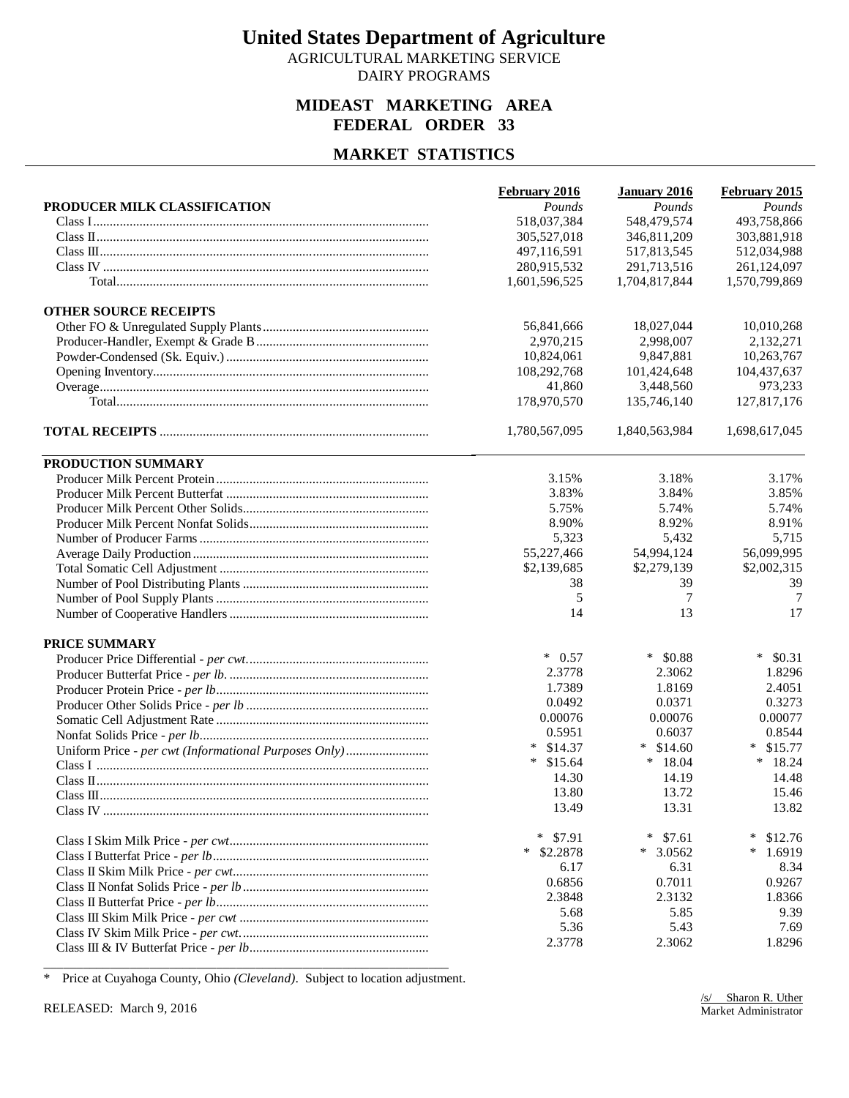AGRICULTURAL MARKETING SERVICE DAIRY PROGRAMS

#### **MIDEAST MARKETING AREA FEDERAL ORDER 33**

### **MARKET STATISTICS**

|                                                       | February 2016      | January 2016     | February 2015     |
|-------------------------------------------------------|--------------------|------------------|-------------------|
| PRODUCER MILK CLASSIFICATION                          | Pounds             | Pounds           | Pounds            |
|                                                       | 518,037,384        | 548,479,574      | 493,758,866       |
|                                                       | 305,527,018        | 346,811,209      | 303,881,918       |
|                                                       | 497,116,591        | 517,813,545      | 512,034,988       |
|                                                       | 280,915,532        | 291,713,516      | 261,124,097       |
|                                                       | 1,601,596,525      | 1,704,817,844    | 1,570,799,869     |
| <b>OTHER SOURCE RECEIPTS</b>                          |                    |                  |                   |
|                                                       | 56,841,666         | 18,027,044       | 10,010,268        |
|                                                       | 2,970,215          | 2,998,007        | 2,132,271         |
|                                                       | 10,824,061         | 9,847,881        | 10,263,767        |
|                                                       | 108,292,768        | 101,424,648      | 104,437,637       |
|                                                       | 41,860             | 3,448,560        | 973,233           |
|                                                       | 178,970,570        | 135,746,140      | 127,817,176       |
|                                                       | 1,780,567,095      | 1,840,563,984    | 1,698,617,045     |
| PRODUCTION SUMMARY                                    |                    |                  |                   |
|                                                       | 3.15%              | 3.18%            | 3.17%             |
|                                                       | 3.83%              | 3.84%            | 3.85%             |
|                                                       | 5.75%              | 5.74%            | 5.74%             |
|                                                       | 8.90%              | 8.92%            | 8.91%             |
|                                                       | 5,323              | 5,432            | 5,715             |
|                                                       | 55,227,466         | 54,994,124       | 56,099,995        |
|                                                       | \$2,139,685        | \$2,279,139      | \$2,002,315       |
|                                                       | 38                 | 39               | 39                |
|                                                       | 5                  | 7                | 7                 |
|                                                       | 14                 | 13               | 17                |
| <b>PRICE SUMMARY</b>                                  |                    |                  |                   |
|                                                       | $*$ 0.57           | $*$ \$0.88       | $\ast$<br>\$0.31  |
|                                                       | 2.3778             | 2.3062           | 1.8296            |
|                                                       | 1.7389             | 1.8169           | 2.4051            |
|                                                       | 0.0492             | 0.0371           | 0.3273            |
|                                                       | 0.00076            | 0.00076          | 0.00077           |
|                                                       | 0.5951             | 0.6037           | 0.8544            |
| Uniform Price - per cwt (Informational Purposes Only) | $*$ \$14.37        | $*$ \$14.60      | $\ast$<br>\$15.77 |
|                                                       | $*$ \$15.64        | $*18.04$         | $*$ 18.24         |
|                                                       | 14.30              | 14.19            | 14.48             |
|                                                       | 13.80              | 13.72            | 15.46             |
|                                                       | 13.49              | 13.31            | 13.82             |
|                                                       | $*$<br>\$7.91      | $\ast$<br>\$7.61 | $\ast$<br>\$12.76 |
|                                                       | $\ast$<br>\$2.2878 | $*3.0562$        | $\ast$<br>1.6919  |
|                                                       | 6.17               | 6.31             | 8.34              |
|                                                       | 0.6856             | 0.7011           | 0.9267            |
|                                                       | 2.3848             | 2.3132           | 1.8366            |
|                                                       | 5.68               | 5.85             | 9.39              |
|                                                       | 5.36               | 5.43             | 7.69              |
|                                                       | 2.3778             | 2.3062           | 1.8296            |

\_\_\_\_\_\_\_\_\_\_\_\_\_\_\_\_\_\_\_\_\_\_\_\_\_\_\_\_\_\_\_\_\_\_\_\_\_\_\_\_\_\_\_\_\_\_\_\_\_\_\_\_\_\_\_\_\_\_\_\_\_ \* Price at Cuyahoga County, Ohio *(Cleveland)*. Subject to location adjustment.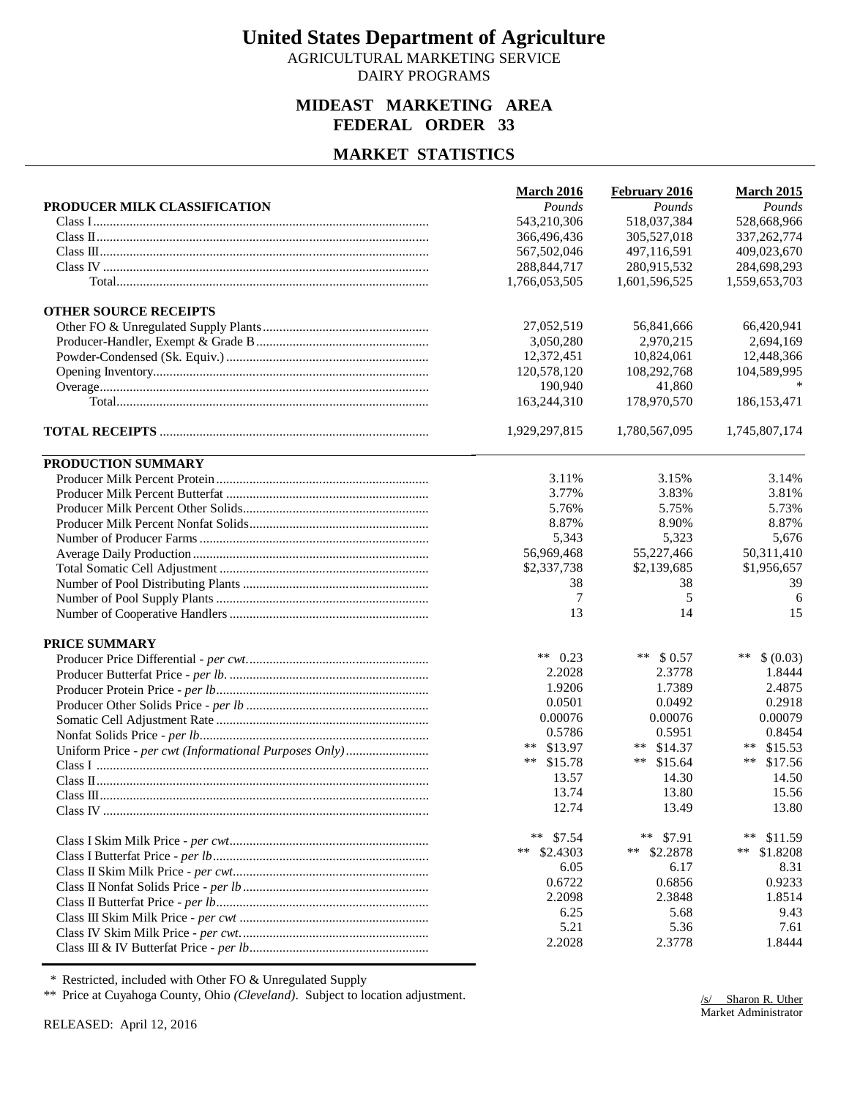AGRICULTURAL MARKETING SERVICE DAIRY PROGRAMS

#### **MIDEAST MARKETING AREA FEDERAL ORDER 33**

### **MARKET STATISTICS**

|                                                       | <b>March 2016</b> | February 2016 | <b>March 2015</b>  |
|-------------------------------------------------------|-------------------|---------------|--------------------|
| PRODUCER MILK CLASSIFICATION                          | Pounds            | Pounds        | Pounds             |
|                                                       | 543,210,306       | 518,037,384   | 528,668,966        |
|                                                       | 366,496,436       | 305,527,018   | 337, 262, 774      |
|                                                       | 567,502,046       | 497,116,591   | 409,023,670        |
|                                                       | 288, 844, 717     | 280,915,532   | 284,698,293        |
|                                                       | 1,766,053,505     | 1,601,596,525 | 1,559,653,703      |
| <b>OTHER SOURCE RECEIPTS</b>                          |                   |               |                    |
|                                                       | 27,052,519        | 56,841,666    | 66,420,941         |
|                                                       | 3,050,280         | 2,970,215     | 2,694,169          |
|                                                       | 12,372,451        | 10,824,061    | 12,448,366         |
|                                                       | 120,578,120       | 108,292,768   | 104,589,995        |
|                                                       | 190,940           | 41,860        |                    |
|                                                       | 163,244,310       | 178,970,570   | 186, 153, 471      |
|                                                       | 1,929,297,815     | 1,780,567,095 | 1,745,807,174      |
| PRODUCTION SUMMARY                                    |                   |               |                    |
|                                                       | 3.11%             | 3.15%         | 3.14%              |
|                                                       | 3.77%             | 3.83%         | 3.81%              |
|                                                       | 5.76%             | 5.75%         | 5.73%              |
|                                                       | 8.87%             | 8.90%         | 8.87%              |
|                                                       | 5,343             | 5,323         | 5,676              |
|                                                       | 56,969,468        | 55,227,466    | 50,311,410         |
|                                                       | \$2,337,738       | \$2,139,685   | \$1,956,657        |
|                                                       | 38                | 38            | 39                 |
|                                                       | 7                 | 5             | 6                  |
|                                                       | 13                | 14            | 15                 |
| <b>PRICE SUMMARY</b>                                  |                   |               |                    |
|                                                       | ** $0.23$         | ** $$0.57$    | $***$<br>\$ (0.03) |
|                                                       | 2.2028            | 2.3778        | 1.8444             |
|                                                       | 1.9206            | 1.7389        | 2.4875             |
|                                                       | 0.0501            | 0.0492        | 0.2918             |
|                                                       | 0.00076           | 0.00076       | 0.00079            |
|                                                       | 0.5786            | 0.5951        | 0.8454             |
| Uniform Price - per cwt (Informational Purposes Only) | ** \$13.97        | ** $$14.37$   | **<br>\$15.53      |
|                                                       | $***$<br>\$15.78  | ** $$15.64$   | $***$<br>\$17.56   |
|                                                       | 13.57             | 14.30         | 14.50              |
|                                                       | 13.74             | 13.80         | 15.56              |
|                                                       | 12.74             | 13.49         | 13.80              |
|                                                       | ** $$7.54$        | **<br>\$7.91  | **<br>\$11.59      |
|                                                       | ** $$2.4303$      | ** $$2.2878$  | **<br>\$1.8208     |
|                                                       | 6.05              | 6.17          | 8.31               |
|                                                       | 0.6722            | 0.6856        | 0.9233             |
|                                                       | 2.2098            | 2.3848        | 1.8514             |
|                                                       | 6.25              | 5.68          | 9.43               |
|                                                       | 5.21              | 5.36          | 7.61               |
|                                                       | 2.2028            | 2.3778        | 1.8444             |

\* Restricted, included with Other FO & Unregulated Supply

\*\* Price at Cuyahoga County, Ohio *(Cleveland)*. Subject to location adjustment.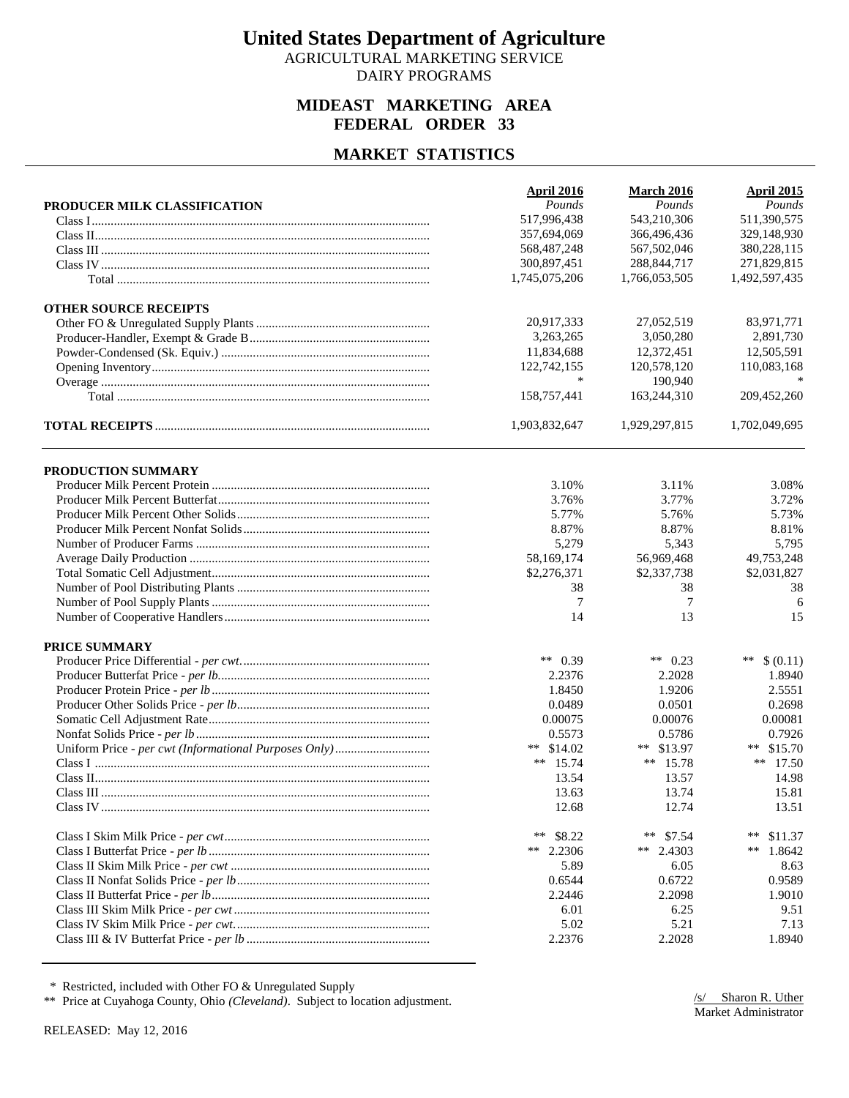AGRICULTURAL MARKETING SERVICE DAIRY PROGRAMS

#### **MIDEAST MARKETING AREA FEDERAL ORDER 33**

#### **MARKET STATISTICS**

|                              | April 2016    | <b>March 2016</b> | <b>April 2015</b> |
|------------------------------|---------------|-------------------|-------------------|
| PRODUCER MILK CLASSIFICATION | Pounds        | Pounds            | Pounds            |
|                              | 517,996,438   | 543,210,306       | 511,390,575       |
|                              | 357,694,069   | 366,496,436       | 329,148,930       |
|                              | 568, 487, 248 | 567,502,046       | 380,228,115       |
|                              | 300,897,451   | 288, 844, 717     | 271,829,815       |
|                              | 1,745,075,206 | 1,766,053,505     | 1,492,597,435     |
| <b>OTHER SOURCE RECEIPTS</b> |               |                   |                   |
|                              | 20,917,333    | 27,052,519        | 83,971,771        |
|                              | 3,263,265     | 3,050,280         | 2,891,730         |
|                              | 11,834,688    | 12,372,451        | 12,505,591        |
|                              | 122,742,155   | 120,578,120       | 110,083,168       |
|                              | *             | 190,940           |                   |
|                              | 158,757,441   | 163,244,310       | 209,452,260       |
|                              | 1,903,832,647 | 1,929,297,815     | 1,702,049,695     |
| PRODUCTION SUMMARY           |               |                   |                   |
|                              | 3.10%         | 3.11%             | 3.08%             |
|                              | 3.76%         | 3.77%             | 3.72%             |
|                              | 5.77%         | 5.76%             | 5.73%             |
|                              | 8.87%         | 8.87%             | 8.81%             |
|                              | 5,279         | 5,343             | 5,795             |
|                              | 58,169,174    | 56,969,468        | 49,753,248        |
|                              | \$2,276,371   | \$2,337,738       | \$2,031,827       |
|                              | 38            | 38                | 38                |
|                              | $\tau$        | 7                 | 6                 |
|                              | 14            | 13                | 15                |
|                              |               |                   |                   |
| <b>PRICE SUMMARY</b>         |               |                   |                   |
|                              | ** $0.39$     | ** $0.23$         | $***$<br>\$(0.11) |
|                              | 2.2376        | 2.2028            | 1.8940            |
|                              | 1.8450        | 1.9206            | 2.5551            |
|                              | 0.0489        | 0.0501            | 0.2698            |
|                              | 0.00075       | 0.00076           | 0.00081           |
|                              | 0.5573        | 0.5786            | 0.7926            |
|                              | ** $$14.02$   | ** $$13.97$       | \$15.70<br>$**$   |
|                              | ** $15.74$    | ** $15.78$        | ** $17.50$        |
|                              | 13.54         | 13.57             | 14.98             |
|                              | 13.63         | 13.74             | 15.81             |
|                              | 12.68         | 12.74             | 13.51             |
|                              | **<br>\$8.22  | **<br>\$7.54      | $***$<br>\$11.37  |
|                              | ** $2.2306$   | ** 2.4303         | **<br>1.8642      |
|                              | 5.89          | 6.05              | 8.63              |
|                              | 0.6544        | 0.6722            | 0.9589            |
|                              | 2.2446        | 2.2098            | 1.9010            |
|                              | 6.01          | 6.25              | 9.51              |
|                              | 5.02          | 5.21              | 7.13              |
|                              | 2.2376        | 2.2028            | 1.8940            |

\* Restricted, included with Other FO & Unregulated Supply

\*\* Price at Cuyahoga County, Ohio *(Cleveland)*. Subject to location adjustment.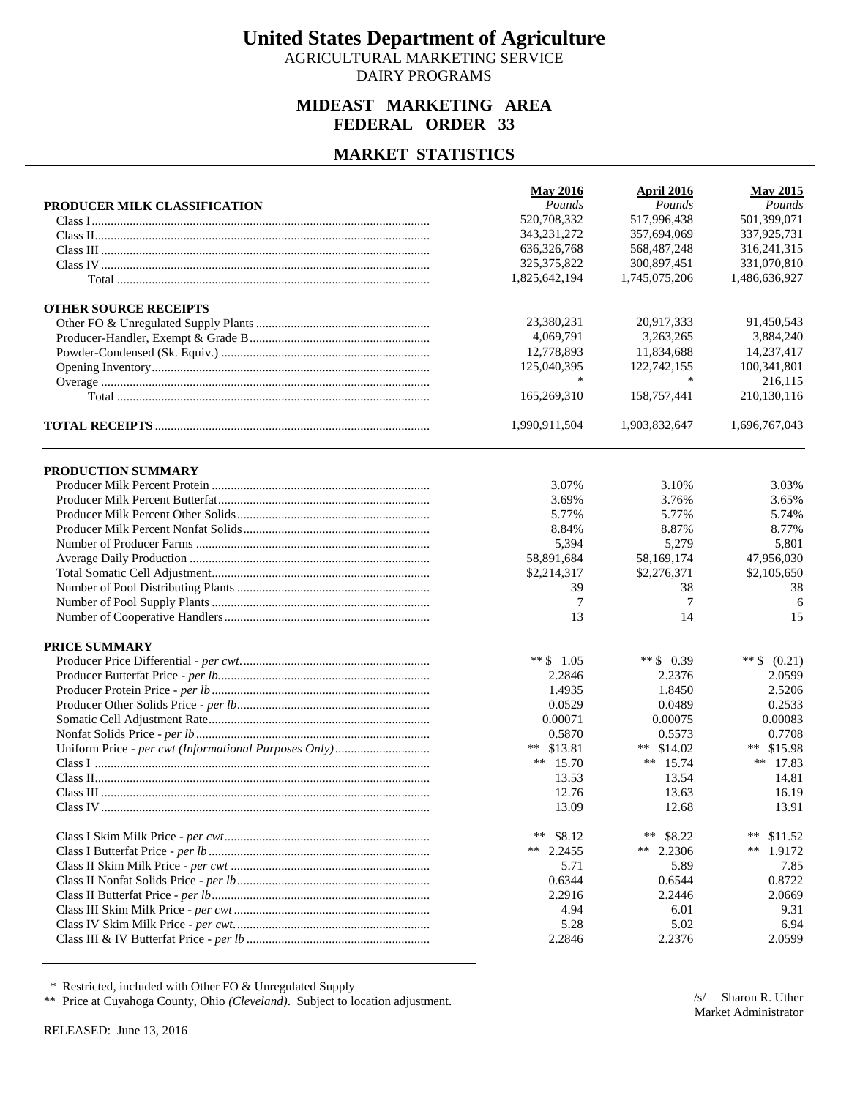AGRICULTURAL MARKETING SERVICE DAIRY PROGRAMS

#### **MIDEAST MARKETING AREA FEDERAL ORDER 33**

#### **MARKET STATISTICS**

|                              | <b>May 2016</b> | April 2016    | <b>May 2015</b>  |
|------------------------------|-----------------|---------------|------------------|
| PRODUCER MILK CLASSIFICATION | Pounds          | Pounds        | Pounds           |
|                              | 520,708,332     | 517,996,438   | 501,399,071      |
|                              | 343, 231, 272   | 357,694,069   | 337,925,731      |
|                              | 636, 326, 768   | 568, 487, 248 | 316,241,315      |
|                              | 325, 375, 822   | 300,897,451   | 331,070,810      |
|                              | 1,825,642,194   | 1,745,075,206 | 1,486,636,927    |
| <b>OTHER SOURCE RECEIPTS</b> |                 |               |                  |
|                              | 23,380,231      | 20,917,333    | 91,450,543       |
|                              | 4,069,791       | 3.263.265     | 3,884,240        |
|                              | 12,778,893      | 11,834,688    | 14,237,417       |
|                              | 125,040,395     | 122,742,155   | 100,341,801      |
|                              | *               | *             | 216,115          |
|                              | 165,269,310     | 158,757,441   | 210,130,116      |
|                              | 1,990,911,504   | 1,903,832,647 | 1,696,767,043    |
| PRODUCTION SUMMARY           |                 |               |                  |
|                              | 3.07%           | 3.10%         | 3.03%            |
|                              | 3.69%           | 3.76%         | 3.65%            |
|                              | 5.77%           | 5.77%         | 5.74%            |
|                              | 8.84%           | 8.87%         | 8.77%            |
|                              | 5,394           | 5,279         | 5,801            |
|                              | 58,891,684      | 58,169,174    | 47,956,030       |
|                              | \$2,214,317     | \$2,276,371   | \$2,105,650      |
|                              | 39              | 38            | 38               |
|                              | 7               | 7             | 6                |
|                              | 13              | 14            | 15               |
| <b>PRICE SUMMARY</b>         |                 |               |                  |
|                              | ** $$1.05$      | ** $$0.39$    | ** $$ (0.21)$    |
|                              | 2.2846          | 2.2376        | 2.0599           |
|                              | 1.4935          | 1.8450        | 2.5206           |
|                              | 0.0529          | 0.0489        | 0.2533           |
|                              | 0.00071         | 0.00075       | 0.00083          |
|                              | 0.5870          | 0.5573        | 0.7708           |
|                              | ** $$13.81$     | \$14.02<br>** | ** \$15.98       |
|                              | ** $15.70$      | ** $15.74$    | ** 17.83         |
|                              | 13.53           | 13.54         | 14.81            |
|                              | 12.76           | 13.63         | 16.19            |
|                              | 13.09           | 12.68         | 13.91            |
|                              | **<br>\$8.12    | **<br>\$8.22  | $***$<br>\$11.52 |
|                              | ** $2.2455$     | **<br>2.2306  | **<br>1.9172     |
|                              | 5.71            | 5.89          | 7.85             |
|                              | 0.6344          | 0.6544        | 0.8722           |
|                              | 2.2916          | 2.2446        | 2.0669           |
|                              | 4.94            | 6.01          | 9.31             |
|                              | 5.28            | 5.02          | 6.94             |
|                              | 2.2846          | 2.2376        | 2.0599           |

\* Restricted, included with Other FO & Unregulated Supply

\*\* Price at Cuyahoga County, Ohio *(Cleveland)*. Subject to location adjustment.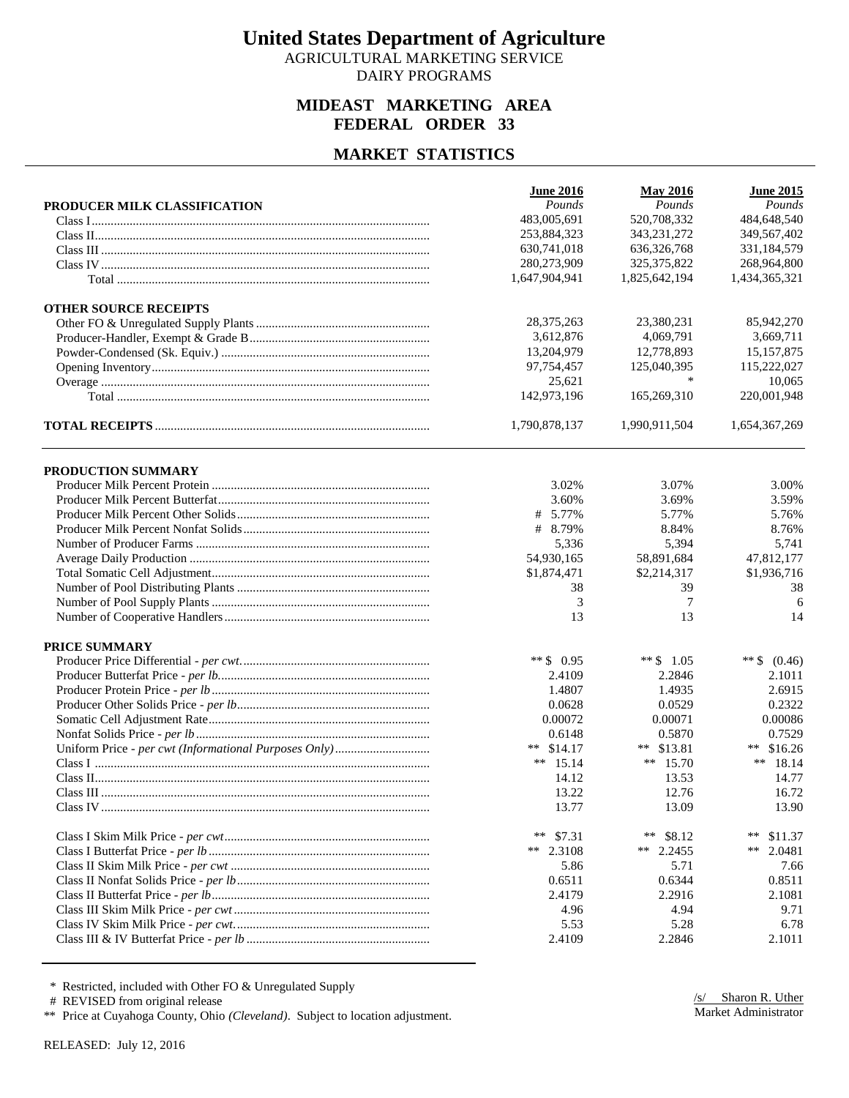AGRICULTURAL MARKETING SERVICE DAIRY PROGRAMS

#### **MIDEAST MARKETING AREA FEDERAL ORDER 33**

#### **MARKET STATISTICS**

|                              | <b>June 2016</b> | <b>May 2016</b> | <b>June 2015</b> |
|------------------------------|------------------|-----------------|------------------|
| PRODUCER MILK CLASSIFICATION | Pounds           | Pounds          | Pounds           |
|                              | 483,005,691      | 520,708,332     | 484,648,540      |
|                              | 253,884,323      | 343,231,272     | 349,567,402      |
|                              | 630,741,018      | 636, 326, 768   | 331,184,579      |
|                              | 280,273,909      | 325, 375, 822   | 268,964,800      |
|                              | 1,647,904,941    | 1,825,642,194   | 1,434,365,321    |
| <b>OTHER SOURCE RECEIPTS</b> |                  |                 |                  |
|                              | 28, 375, 263     | 23,380,231      | 85,942,270       |
|                              | 3,612,876        | 4,069,791       | 3,669,711        |
|                              | 13,204,979       | 12,778,893      | 15, 157, 875     |
|                              | 97,754,457       | 125,040,395     | 115,222,027      |
|                              | 25,621           | $\ast$          | 10,065           |
|                              | 142,973,196      | 165,269,310     | 220,001,948      |
|                              | 1,790,878,137    | 1,990,911,504   | 1,654,367,269    |
| PRODUCTION SUMMARY           |                  |                 |                  |
|                              | 3.02%            | 3.07%           | 3.00%            |
|                              | 3.60%            | 3.69%           | 3.59%            |
|                              | # 5.77%          | 5.77%           | 5.76%            |
|                              | # 8.79%          | 8.84%           | 8.76%            |
|                              | 5,336            |                 | 5,741            |
|                              |                  | 5,394           |                  |
|                              | 54,930,165       | 58,891,684      | 47,812,177       |
|                              | \$1,874,471      | \$2,214,317     | \$1,936,716      |
|                              | 38               | 39              | 38               |
|                              | 3                | 7               | 6                |
|                              | 13               | 13              | 14               |
| <b>PRICE SUMMARY</b>         |                  |                 |                  |
|                              | ** $$0.95$       | ** $$1.05$      | ** $$ (0.46)$    |
|                              | 2.4109           | 2.2846          | 2.1011           |
|                              | 1.4807           | 1.4935          | 2.6915           |
|                              | 0.0628           | 0.0529          | 0.2322           |
|                              | 0.00072          | 0.00071         | 0.00086          |
|                              | 0.6148           | 0.5870          | 0.7529           |
|                              | ** $$14.17$      | \$13.81<br>**   | \$16.26<br>$***$ |
|                              | ** $15.14$       | ** $15.70$      | ** $18.14$       |
|                              | 14.12            | 13.53           | 14.77            |
|                              | 13.22            | 12.76           | 16.72            |
|                              | 13.77            | 13.09           | 13.90            |
|                              | **<br>\$7.31     | **<br>\$8.12    | **<br>\$11.37    |
|                              | ** $2.3108$      | ** 2.2455       | **<br>2.0481     |
|                              | 5.86             | 5.71            | 7.66             |
|                              | 0.6511           | 0.6344          | 0.8511           |
|                              | 2.4179           | 2.2916          | 2.1081           |
|                              | 4.96             | 4.94            | 9.71             |
|                              | 5.53             | 5.28            | 6.78             |
|                              | 2.4109           | 2.2846          | 2.1011           |
|                              |                  |                 |                  |

\* Restricted, included with Other FO & Unregulated Supply

# REVISED from original release

\*\* Price at Cuyahoga County, Ohio *(Cleveland)*. Subject to location adjustment.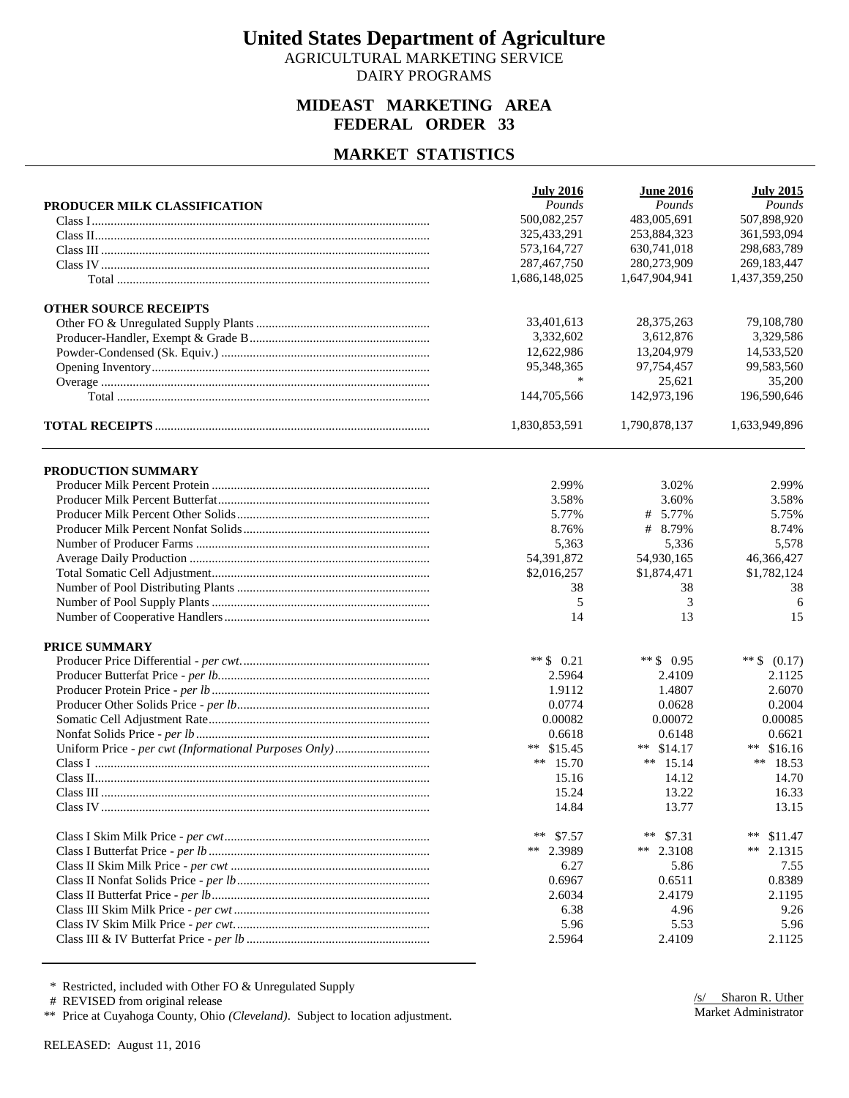AGRICULTURAL MARKETING SERVICE DAIRY PROGRAMS

#### **MIDEAST MARKETING AREA FEDERAL ORDER 33**

#### **MARKET STATISTICS**

|                              | <b>July 2016</b> | <b>June 2016</b> | <b>July 2015</b> |
|------------------------------|------------------|------------------|------------------|
| PRODUCER MILK CLASSIFICATION | Pounds           | Pounds           | Pounds           |
|                              | 500,082,257      | 483,005,691      | 507,898,920      |
|                              | 325,433,291      | 253,884,323      | 361,593,094      |
|                              | 573,164,727      | 630,741,018      | 298,683,789      |
|                              | 287,467,750      | 280,273,909      | 269,183,447      |
|                              | 1,686,148,025    | 1,647,904,941    | 1,437,359,250    |
| <b>OTHER SOURCE RECEIPTS</b> |                  |                  |                  |
|                              | 33,401,613       | 28, 375, 263     | 79,108,780       |
|                              | 3,332,602        | 3,612,876        | 3,329,586        |
|                              | 12,622,986       | 13,204,979       | 14,533,520       |
|                              | 95,348,365       | 97,754,457       | 99,583,560       |
|                              | *                | 25,621           | 35,200           |
|                              | 144,705,566      | 142,973,196      | 196,590,646      |
|                              | 1,830,853,591    | 1,790,878,137    | 1,633,949,896    |
| PRODUCTION SUMMARY           |                  |                  |                  |
|                              | 2.99%            | 3.02%            | 2.99%            |
|                              | 3.58%            | 3.60%            | 3.58%            |
|                              | 5.77%            | # 5.77%          | 5.75%            |
|                              | 8.76%            | # 8.79%          | 8.74%            |
|                              | 5,363            | 5,336            | 5,578            |
|                              | 54,391,872       | 54,930,165       | 46,366,427       |
|                              | \$2,016,257      | \$1,874,471      | \$1,782,124      |
|                              | 38               | 38               | 38               |
|                              | 5                | 3                | 6                |
|                              | 14               | 13               | 15               |
| <b>PRICE SUMMARY</b>         |                  |                  |                  |
|                              | ** $$0.21$       | ** $$0.95$       | ** $$ (0.17)$    |
|                              | 2.5964           | 2.4109           | 2.1125           |
|                              | 1.9112           | 1.4807           | 2.6070           |
|                              | 0.0774           | 0.0628           | 0.2004           |
|                              | 0.00082          | 0.00072          | 0.00085          |
|                              | 0.6618           | 0.6148           | 0.6621           |
|                              | ** $$15.45$      | \$14.17<br>**    | $***$<br>\$16.16 |
|                              | ** $15.70$       | ** $15.14$       | ** 18.53         |
|                              | 15.16            | 14.12            | 14.70            |
|                              | 15.24            | 13.22            | 16.33            |
|                              | 14.84            | 13.77            | 13.15            |
|                              | **<br>\$7.57     | **<br>\$7.31     | **<br>\$11.47    |
|                              | ** 2.3989        | ** 2.3108        | **<br>2.1315     |
|                              | 6.27             | 5.86             | 7.55             |
|                              | 0.6967           | 0.6511           | 0.8389           |
|                              | 2.6034           | 2.4179           | 2.1195           |
|                              | 6.38             | 4.96             | 9.26             |
|                              | 5.96             | 5.53             | 5.96             |
|                              | 2.5964           | 2.4109           | 2.1125           |

\* Restricted, included with Other FO & Unregulated Supply

# REVISED from original release

\*\* Price at Cuyahoga County, Ohio *(Cleveland)*. Subject to location adjustment.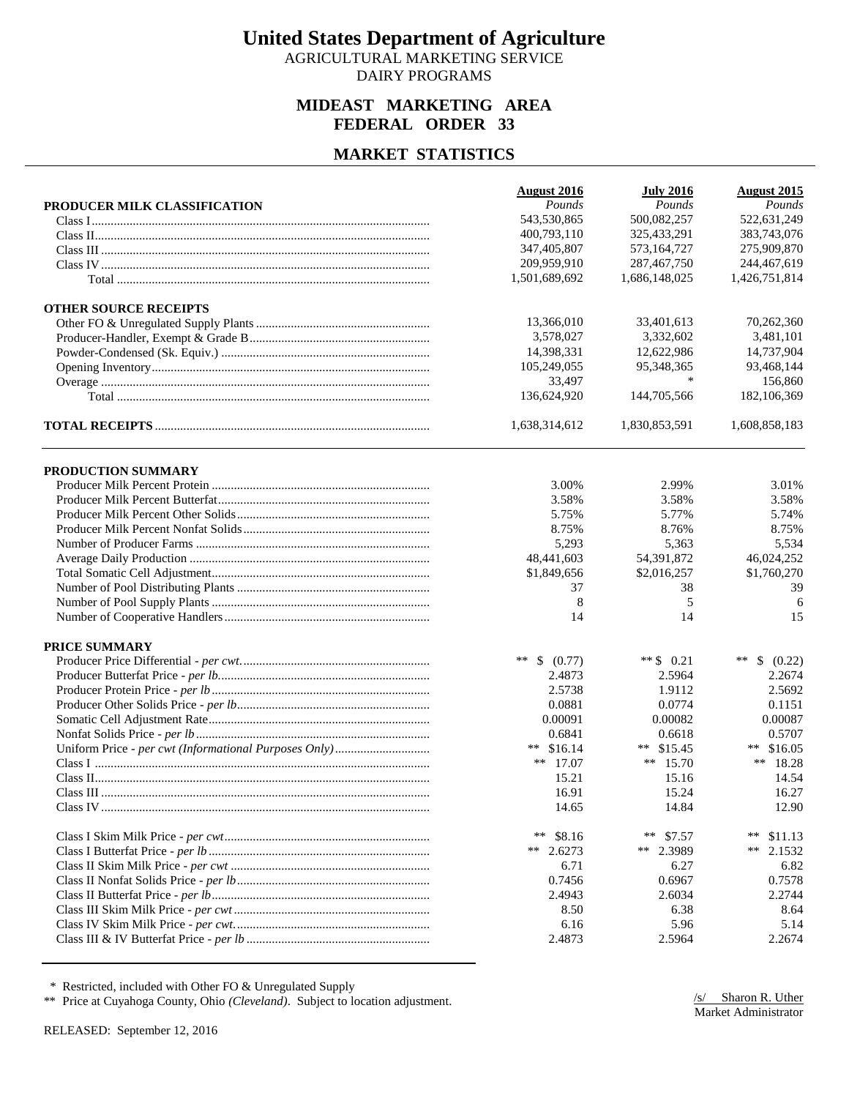AGRICULTURAL MARKETING SERVICE DAIRY PROGRAMS

#### **MIDEAST MARKETING AREA FEDERAL ORDER 33**

#### **MARKET STATISTICS**

| Pounds<br>Pounds<br>Pounds<br>PRODUCER MILK CLASSIFICATION<br>500,082,257<br>522,631,249<br>543.530.865<br>400,793,110<br>325,433,291<br>383,743,076<br>275,909,870<br>347,405,807<br>573,164,727<br>209,959,910<br>287,467,750<br>244,467,619<br>1,501,689,692<br>1,686,148,025<br>1,426,751,814<br><b>OTHER SOURCE RECEIPTS</b><br>70,262,360<br>13,366,010<br>33,401,613<br>3,578,027<br>3.332.602<br>3,481,101<br>14,398,331<br>14,737,904<br>12,622,986<br>105,249,055<br>95,348,365<br>93,468,144<br>$\ast$<br>33,497<br>156,860<br>136,624,920<br>144,705,566<br>182,106,369<br>1,638,314,612<br>1,830,853,591<br>1,608,858,183<br>PRODUCTION SUMMARY<br>3.01%<br>3.00%<br>2.99%<br>3.58%<br>3.58%<br>3.58%<br>5.75%<br>5.77%<br>5.74%<br>8.75%<br>8.76%<br>8.75%<br>5,293<br>5,534<br>5,363<br>54,391,872<br>48,441,603<br>46,024,252<br>\$1,849,656<br>\$2,016,257<br>\$1,760,270<br>37<br>39<br>38<br>8<br>5<br>6<br>14<br>15<br>14<br><b>PRICE SUMMARY</b><br>** $$ (0.77)$<br>** $$0.21$<br>$***$<br>- \$<br>(0.22)<br>2.4873<br>2.5964<br>2.2674<br>2.5738<br>1.9112<br>2.5692<br>0.0881<br>0.0774<br>0.1151<br>0.00087<br>0.00091<br>0.00082<br>0.6841<br>0.6618<br>0.5707<br>\$15.45<br>\$16.05<br>** $$16.14$<br>**<br>$***$<br>** $15.70$<br>** 18.28<br>** $17.07$<br>15.16<br>14.54<br>15.21<br>16.91<br>15.24<br>16.27<br>14.65<br>14.84<br>12.90<br>**<br>\$8.16<br>**<br>\$7.57<br>**<br>\$11.13<br>** $2.6273$<br>** 2.3989<br>**<br>2.1532<br>6.71<br>6.27<br>6.82<br>0.7456<br>0.6967<br>0.7578<br>2.2744<br>2.4943<br>2.6034<br>8.50<br>6.38<br>8.64<br>6.16<br>5.96<br>5.14<br>2.4873<br>2.5964<br>2.2674 | <b>August 2016</b> | <b>July 2016</b> | <b>August 2015</b> |
|--------------------------------------------------------------------------------------------------------------------------------------------------------------------------------------------------------------------------------------------------------------------------------------------------------------------------------------------------------------------------------------------------------------------------------------------------------------------------------------------------------------------------------------------------------------------------------------------------------------------------------------------------------------------------------------------------------------------------------------------------------------------------------------------------------------------------------------------------------------------------------------------------------------------------------------------------------------------------------------------------------------------------------------------------------------------------------------------------------------------------------------------------------------------------------------------------------------------------------------------------------------------------------------------------------------------------------------------------------------------------------------------------------------------------------------------------------------------------------------------------------------------------------------------------------------------------------------------------------------------------------------|--------------------|------------------|--------------------|
|                                                                                                                                                                                                                                                                                                                                                                                                                                                                                                                                                                                                                                                                                                                                                                                                                                                                                                                                                                                                                                                                                                                                                                                                                                                                                                                                                                                                                                                                                                                                                                                                                                      |                    |                  |                    |
|                                                                                                                                                                                                                                                                                                                                                                                                                                                                                                                                                                                                                                                                                                                                                                                                                                                                                                                                                                                                                                                                                                                                                                                                                                                                                                                                                                                                                                                                                                                                                                                                                                      |                    |                  |                    |
|                                                                                                                                                                                                                                                                                                                                                                                                                                                                                                                                                                                                                                                                                                                                                                                                                                                                                                                                                                                                                                                                                                                                                                                                                                                                                                                                                                                                                                                                                                                                                                                                                                      |                    |                  |                    |
|                                                                                                                                                                                                                                                                                                                                                                                                                                                                                                                                                                                                                                                                                                                                                                                                                                                                                                                                                                                                                                                                                                                                                                                                                                                                                                                                                                                                                                                                                                                                                                                                                                      |                    |                  |                    |
|                                                                                                                                                                                                                                                                                                                                                                                                                                                                                                                                                                                                                                                                                                                                                                                                                                                                                                                                                                                                                                                                                                                                                                                                                                                                                                                                                                                                                                                                                                                                                                                                                                      |                    |                  |                    |
|                                                                                                                                                                                                                                                                                                                                                                                                                                                                                                                                                                                                                                                                                                                                                                                                                                                                                                                                                                                                                                                                                                                                                                                                                                                                                                                                                                                                                                                                                                                                                                                                                                      |                    |                  |                    |
|                                                                                                                                                                                                                                                                                                                                                                                                                                                                                                                                                                                                                                                                                                                                                                                                                                                                                                                                                                                                                                                                                                                                                                                                                                                                                                                                                                                                                                                                                                                                                                                                                                      |                    |                  |                    |
|                                                                                                                                                                                                                                                                                                                                                                                                                                                                                                                                                                                                                                                                                                                                                                                                                                                                                                                                                                                                                                                                                                                                                                                                                                                                                                                                                                                                                                                                                                                                                                                                                                      |                    |                  |                    |
|                                                                                                                                                                                                                                                                                                                                                                                                                                                                                                                                                                                                                                                                                                                                                                                                                                                                                                                                                                                                                                                                                                                                                                                                                                                                                                                                                                                                                                                                                                                                                                                                                                      |                    |                  |                    |
|                                                                                                                                                                                                                                                                                                                                                                                                                                                                                                                                                                                                                                                                                                                                                                                                                                                                                                                                                                                                                                                                                                                                                                                                                                                                                                                                                                                                                                                                                                                                                                                                                                      |                    |                  |                    |
|                                                                                                                                                                                                                                                                                                                                                                                                                                                                                                                                                                                                                                                                                                                                                                                                                                                                                                                                                                                                                                                                                                                                                                                                                                                                                                                                                                                                                                                                                                                                                                                                                                      |                    |                  |                    |
|                                                                                                                                                                                                                                                                                                                                                                                                                                                                                                                                                                                                                                                                                                                                                                                                                                                                                                                                                                                                                                                                                                                                                                                                                                                                                                                                                                                                                                                                                                                                                                                                                                      |                    |                  |                    |
|                                                                                                                                                                                                                                                                                                                                                                                                                                                                                                                                                                                                                                                                                                                                                                                                                                                                                                                                                                                                                                                                                                                                                                                                                                                                                                                                                                                                                                                                                                                                                                                                                                      |                    |                  |                    |
|                                                                                                                                                                                                                                                                                                                                                                                                                                                                                                                                                                                                                                                                                                                                                                                                                                                                                                                                                                                                                                                                                                                                                                                                                                                                                                                                                                                                                                                                                                                                                                                                                                      |                    |                  |                    |
|                                                                                                                                                                                                                                                                                                                                                                                                                                                                                                                                                                                                                                                                                                                                                                                                                                                                                                                                                                                                                                                                                                                                                                                                                                                                                                                                                                                                                                                                                                                                                                                                                                      |                    |                  |                    |
|                                                                                                                                                                                                                                                                                                                                                                                                                                                                                                                                                                                                                                                                                                                                                                                                                                                                                                                                                                                                                                                                                                                                                                                                                                                                                                                                                                                                                                                                                                                                                                                                                                      |                    |                  |                    |
|                                                                                                                                                                                                                                                                                                                                                                                                                                                                                                                                                                                                                                                                                                                                                                                                                                                                                                                                                                                                                                                                                                                                                                                                                                                                                                                                                                                                                                                                                                                                                                                                                                      |                    |                  |                    |
|                                                                                                                                                                                                                                                                                                                                                                                                                                                                                                                                                                                                                                                                                                                                                                                                                                                                                                                                                                                                                                                                                                                                                                                                                                                                                                                                                                                                                                                                                                                                                                                                                                      |                    |                  |                    |
|                                                                                                                                                                                                                                                                                                                                                                                                                                                                                                                                                                                                                                                                                                                                                                                                                                                                                                                                                                                                                                                                                                                                                                                                                                                                                                                                                                                                                                                                                                                                                                                                                                      |                    |                  |                    |
|                                                                                                                                                                                                                                                                                                                                                                                                                                                                                                                                                                                                                                                                                                                                                                                                                                                                                                                                                                                                                                                                                                                                                                                                                                                                                                                                                                                                                                                                                                                                                                                                                                      |                    |                  |                    |
|                                                                                                                                                                                                                                                                                                                                                                                                                                                                                                                                                                                                                                                                                                                                                                                                                                                                                                                                                                                                                                                                                                                                                                                                                                                                                                                                                                                                                                                                                                                                                                                                                                      |                    |                  |                    |
|                                                                                                                                                                                                                                                                                                                                                                                                                                                                                                                                                                                                                                                                                                                                                                                                                                                                                                                                                                                                                                                                                                                                                                                                                                                                                                                                                                                                                                                                                                                                                                                                                                      |                    |                  |                    |
|                                                                                                                                                                                                                                                                                                                                                                                                                                                                                                                                                                                                                                                                                                                                                                                                                                                                                                                                                                                                                                                                                                                                                                                                                                                                                                                                                                                                                                                                                                                                                                                                                                      |                    |                  |                    |
|                                                                                                                                                                                                                                                                                                                                                                                                                                                                                                                                                                                                                                                                                                                                                                                                                                                                                                                                                                                                                                                                                                                                                                                                                                                                                                                                                                                                                                                                                                                                                                                                                                      |                    |                  |                    |
|                                                                                                                                                                                                                                                                                                                                                                                                                                                                                                                                                                                                                                                                                                                                                                                                                                                                                                                                                                                                                                                                                                                                                                                                                                                                                                                                                                                                                                                                                                                                                                                                                                      |                    |                  |                    |
|                                                                                                                                                                                                                                                                                                                                                                                                                                                                                                                                                                                                                                                                                                                                                                                                                                                                                                                                                                                                                                                                                                                                                                                                                                                                                                                                                                                                                                                                                                                                                                                                                                      |                    |                  |                    |
|                                                                                                                                                                                                                                                                                                                                                                                                                                                                                                                                                                                                                                                                                                                                                                                                                                                                                                                                                                                                                                                                                                                                                                                                                                                                                                                                                                                                                                                                                                                                                                                                                                      |                    |                  |                    |
|                                                                                                                                                                                                                                                                                                                                                                                                                                                                                                                                                                                                                                                                                                                                                                                                                                                                                                                                                                                                                                                                                                                                                                                                                                                                                                                                                                                                                                                                                                                                                                                                                                      |                    |                  |                    |
|                                                                                                                                                                                                                                                                                                                                                                                                                                                                                                                                                                                                                                                                                                                                                                                                                                                                                                                                                                                                                                                                                                                                                                                                                                                                                                                                                                                                                                                                                                                                                                                                                                      |                    |                  |                    |
|                                                                                                                                                                                                                                                                                                                                                                                                                                                                                                                                                                                                                                                                                                                                                                                                                                                                                                                                                                                                                                                                                                                                                                                                                                                                                                                                                                                                                                                                                                                                                                                                                                      |                    |                  |                    |
|                                                                                                                                                                                                                                                                                                                                                                                                                                                                                                                                                                                                                                                                                                                                                                                                                                                                                                                                                                                                                                                                                                                                                                                                                                                                                                                                                                                                                                                                                                                                                                                                                                      |                    |                  |                    |
|                                                                                                                                                                                                                                                                                                                                                                                                                                                                                                                                                                                                                                                                                                                                                                                                                                                                                                                                                                                                                                                                                                                                                                                                                                                                                                                                                                                                                                                                                                                                                                                                                                      |                    |                  |                    |
|                                                                                                                                                                                                                                                                                                                                                                                                                                                                                                                                                                                                                                                                                                                                                                                                                                                                                                                                                                                                                                                                                                                                                                                                                                                                                                                                                                                                                                                                                                                                                                                                                                      |                    |                  |                    |
|                                                                                                                                                                                                                                                                                                                                                                                                                                                                                                                                                                                                                                                                                                                                                                                                                                                                                                                                                                                                                                                                                                                                                                                                                                                                                                                                                                                                                                                                                                                                                                                                                                      |                    |                  |                    |
|                                                                                                                                                                                                                                                                                                                                                                                                                                                                                                                                                                                                                                                                                                                                                                                                                                                                                                                                                                                                                                                                                                                                                                                                                                                                                                                                                                                                                                                                                                                                                                                                                                      |                    |                  |                    |
|                                                                                                                                                                                                                                                                                                                                                                                                                                                                                                                                                                                                                                                                                                                                                                                                                                                                                                                                                                                                                                                                                                                                                                                                                                                                                                                                                                                                                                                                                                                                                                                                                                      |                    |                  |                    |
|                                                                                                                                                                                                                                                                                                                                                                                                                                                                                                                                                                                                                                                                                                                                                                                                                                                                                                                                                                                                                                                                                                                                                                                                                                                                                                                                                                                                                                                                                                                                                                                                                                      |                    |                  |                    |
|                                                                                                                                                                                                                                                                                                                                                                                                                                                                                                                                                                                                                                                                                                                                                                                                                                                                                                                                                                                                                                                                                                                                                                                                                                                                                                                                                                                                                                                                                                                                                                                                                                      |                    |                  |                    |
|                                                                                                                                                                                                                                                                                                                                                                                                                                                                                                                                                                                                                                                                                                                                                                                                                                                                                                                                                                                                                                                                                                                                                                                                                                                                                                                                                                                                                                                                                                                                                                                                                                      |                    |                  |                    |
|                                                                                                                                                                                                                                                                                                                                                                                                                                                                                                                                                                                                                                                                                                                                                                                                                                                                                                                                                                                                                                                                                                                                                                                                                                                                                                                                                                                                                                                                                                                                                                                                                                      |                    |                  |                    |
|                                                                                                                                                                                                                                                                                                                                                                                                                                                                                                                                                                                                                                                                                                                                                                                                                                                                                                                                                                                                                                                                                                                                                                                                                                                                                                                                                                                                                                                                                                                                                                                                                                      |                    |                  |                    |
|                                                                                                                                                                                                                                                                                                                                                                                                                                                                                                                                                                                                                                                                                                                                                                                                                                                                                                                                                                                                                                                                                                                                                                                                                                                                                                                                                                                                                                                                                                                                                                                                                                      |                    |                  |                    |
|                                                                                                                                                                                                                                                                                                                                                                                                                                                                                                                                                                                                                                                                                                                                                                                                                                                                                                                                                                                                                                                                                                                                                                                                                                                                                                                                                                                                                                                                                                                                                                                                                                      |                    |                  |                    |
|                                                                                                                                                                                                                                                                                                                                                                                                                                                                                                                                                                                                                                                                                                                                                                                                                                                                                                                                                                                                                                                                                                                                                                                                                                                                                                                                                                                                                                                                                                                                                                                                                                      |                    |                  |                    |
|                                                                                                                                                                                                                                                                                                                                                                                                                                                                                                                                                                                                                                                                                                                                                                                                                                                                                                                                                                                                                                                                                                                                                                                                                                                                                                                                                                                                                                                                                                                                                                                                                                      |                    |                  |                    |
|                                                                                                                                                                                                                                                                                                                                                                                                                                                                                                                                                                                                                                                                                                                                                                                                                                                                                                                                                                                                                                                                                                                                                                                                                                                                                                                                                                                                                                                                                                                                                                                                                                      |                    |                  |                    |

\* Restricted, included with Other FO & Unregulated Supply

\*\* Price at Cuyahoga County, Ohio *(Cleveland)*. Subject to location adjustment.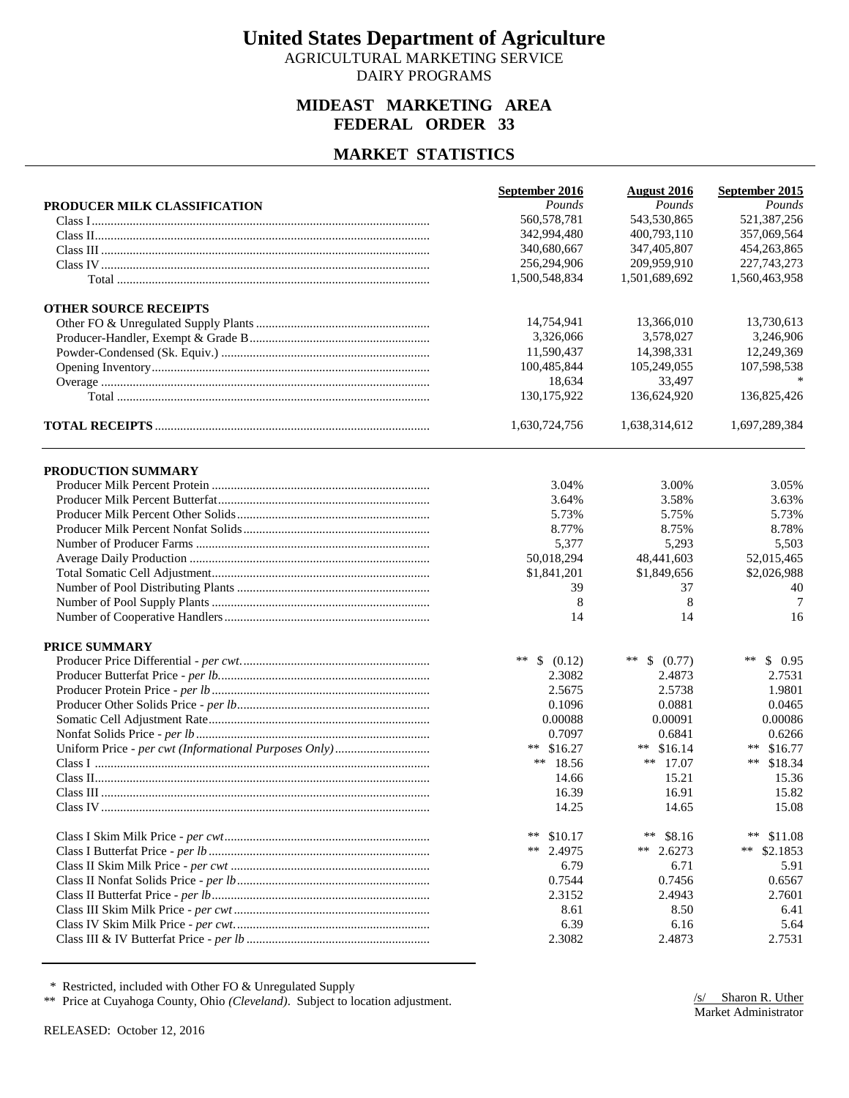AGRICULTURAL MARKETING SERVICE DAIRY PROGRAMS

#### **MIDEAST MARKETING AREA FEDERAL ORDER 33**

#### **MARKET STATISTICS**

|                              | September 2016  | <b>August 2016</b> | September 2015    |
|------------------------------|-----------------|--------------------|-------------------|
| PRODUCER MILK CLASSIFICATION | Pounds          | Pounds             | Pounds            |
|                              | 560,578,781     | 543,530,865        | 521,387,256       |
|                              | 342,994,480     | 400,793,110        | 357,069,564       |
|                              | 340,680,667     | 347,405,807        | 454,263,865       |
|                              | 256,294,906     | 209,959,910        | 227, 743, 273     |
|                              | 1,500,548,834   | 1,501,689,692      | 1,560,463,958     |
| <b>OTHER SOURCE RECEIPTS</b> |                 |                    |                   |
|                              | 14,754,941      | 13,366,010         | 13,730,613        |
|                              | 3,326,066       | 3,578,027          | 3,246,906         |
|                              | 11,590,437      | 14,398,331         | 12,249,369        |
|                              | 100,485,844     | 105,249,055        | 107,598,538       |
|                              | 18,634          | 33,497             |                   |
|                              | 130,175,922     | 136,624,920        | 136,825,426       |
|                              | 1,630,724,756   | 1,638,314,612      | 1,697,289,384     |
| PRODUCTION SUMMARY           |                 |                    |                   |
|                              | 3.04%           | 3.00%              | 3.05%             |
|                              | 3.64%           | 3.58%              | 3.63%             |
|                              | 5.73%           | 5.75%              | 5.73%             |
|                              | 8.77%           | 8.75%              | 8.78%             |
|                              | 5,377           | 5,293              | 5,503             |
|                              | 50,018,294      | 48,441,603         | 52,015,465        |
|                              | \$1,841,201     | \$1,849,656        | \$2,026,988       |
|                              | 39              | 37                 | 40                |
|                              | 8               | 8                  | 7                 |
|                              | 14              | 14                 | 16                |
| <b>PRICE SUMMARY</b>         |                 |                    |                   |
|                              | ** $$ (0.12)$   | **<br>\$ (0.77)    | **<br>\$0.95      |
|                              | 2.3082          | 2.4873             | 2.7531            |
|                              | 2.5675          | 2.5738             | 1.9801            |
|                              | 0.1096          | 0.0881             | 0.0465            |
|                              | 0.00088         | 0.00091            | 0.00086           |
|                              | 0.7097          | 0.6841             | 0.6266            |
|                              | ** $$16.27$     | \$16.14<br>**      | ** $$16.77$       |
|                              | ** 18.56        | ** $17.07$         | ** $$18.34$       |
|                              | 14.66           | 15.21              | 15.36             |
|                              | 16.39           | 16.91              | 15.82             |
|                              | 14.25           | 14.65              | 15.08             |
|                              | **<br>\$10.17   | **<br>\$8.16       | $***$<br>\$11.08  |
|                              | $***$<br>2.4975 | **<br>2.6273       | $***$<br>\$2.1853 |
|                              | 6.79            | 6.71               | 5.91              |
|                              | 0.7544          | 0.7456             | 0.6567            |
|                              | 2.3152          | 2.4943             | 2.7601            |
|                              | 8.61            | 8.50               | 6.41              |
|                              | 6.39            | 6.16               | 5.64              |
|                              | 2.3082          | 2.4873             | 2.7531            |
|                              |                 |                    |                   |

\* Restricted, included with Other FO & Unregulated Supply

\*\* Price at Cuyahoga County, Ohio *(Cleveland)*. Subject to location adjustment.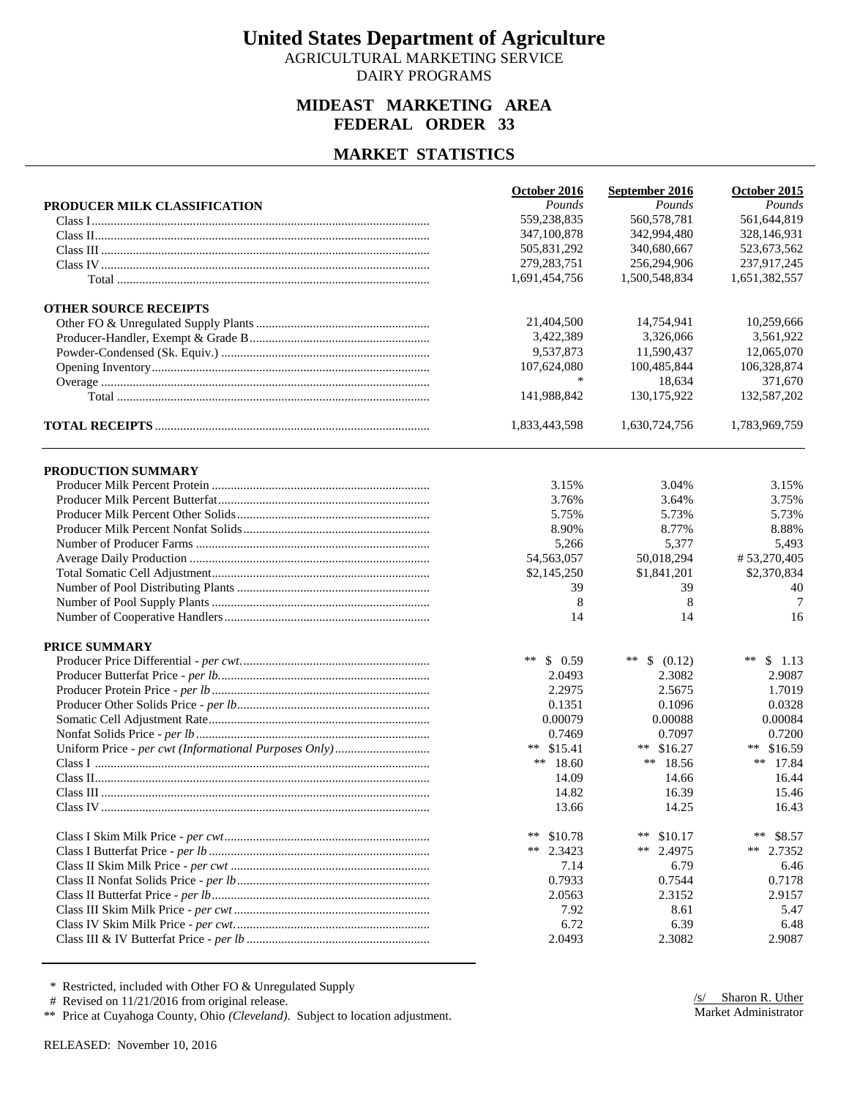AGRICULTURAL MARKETING SERVICE DAIRY PROGRAMS

#### **MIDEAST MARKETING AREA FEDERAL ORDER 33**

#### **MARKET STATISTICS**

| Pounds<br>Pounds<br>Pounds<br>PRODUCER MILK CLASSIFICATION<br>560,578,781<br>561,644,819<br>559,238,835<br>342,994,480<br>328,146,931<br>347,100,878<br>340,680,667<br>505,831,292<br>523,673,562<br>279, 283, 751<br>256,294,906<br>237,917,245<br>1,691,454,756<br>1,500,548,834<br>1,651,382,557<br><b>OTHER SOURCE RECEIPTS</b><br>21,404,500<br>10,259,666<br>14,754,941<br>3,422,389<br>3,326,066<br>3,561,922<br>9,537,873<br>11,590,437<br>12,065,070<br>107,624,080<br>100,485,844<br>106,328,874<br>*<br>18,634<br>371,670<br>141,988,842<br>130, 175, 922<br>132,587,202<br>1,833,443,598<br>1,783,969,759<br>1,630,724,756<br>PRODUCTION SUMMARY<br>3.15%<br>3.04%<br>3.15%<br>3.76%<br>3.64%<br>3.75%<br>5.75%<br>5.73%<br>5.73%<br>8.90%<br>8.77%<br>8.88%<br>5,266<br>5,377<br>5,493<br>54,563,057<br>50,018,294<br>#53,270,405<br>\$2,145,250<br>\$1,841,201<br>\$2,370,834<br>39<br>39<br>40<br>8<br>8<br>7<br>16<br>14<br>14<br><b>PRICE SUMMARY</b><br>$***$<br>\$0.59<br>**<br>\$ (0.12)<br>**<br>\$1.13<br>2.3082<br>2.0493<br>2.9087<br>2.2975<br>2.5675<br>1.7019<br>0.1351<br>0.1096<br>0.0328<br>0.00079<br>0.00088<br>0.00084<br>0.7469<br>0.7097<br>0.7200<br>** $$15.41$<br>\$16.27<br>** \$16.59<br>**<br>** $18.60$<br>** 18.56<br>** 17.84<br>14.66<br>14.09<br>16.44<br>14.82<br>16.39<br>15.46<br>16.43<br>13.66<br>14.25<br>$***$<br>\$10.78<br>**<br>\$10.17<br>**<br>\$8.57<br>2.4975<br>**<br>2.3423<br>**<br>** $2.7352$<br>6.79<br>7.14<br>0.7933<br>0.7544<br>0.7178<br>2.0563<br>2.3152<br>7.92<br>8.61<br>5.47<br>6.72<br>6.39<br>6.48<br>2.9087<br>2.0493<br>2.3082 | October 2016 | September 2016 | October 2015 |
|----------------------------------------------------------------------------------------------------------------------------------------------------------------------------------------------------------------------------------------------------------------------------------------------------------------------------------------------------------------------------------------------------------------------------------------------------------------------------------------------------------------------------------------------------------------------------------------------------------------------------------------------------------------------------------------------------------------------------------------------------------------------------------------------------------------------------------------------------------------------------------------------------------------------------------------------------------------------------------------------------------------------------------------------------------------------------------------------------------------------------------------------------------------------------------------------------------------------------------------------------------------------------------------------------------------------------------------------------------------------------------------------------------------------------------------------------------------------------------------------------------------------------------------------------------------------------------------------------------------|--------------|----------------|--------------|
|                                                                                                                                                                                                                                                                                                                                                                                                                                                                                                                                                                                                                                                                                                                                                                                                                                                                                                                                                                                                                                                                                                                                                                                                                                                                                                                                                                                                                                                                                                                                                                                                                |              |                |              |
|                                                                                                                                                                                                                                                                                                                                                                                                                                                                                                                                                                                                                                                                                                                                                                                                                                                                                                                                                                                                                                                                                                                                                                                                                                                                                                                                                                                                                                                                                                                                                                                                                |              |                |              |
|                                                                                                                                                                                                                                                                                                                                                                                                                                                                                                                                                                                                                                                                                                                                                                                                                                                                                                                                                                                                                                                                                                                                                                                                                                                                                                                                                                                                                                                                                                                                                                                                                |              |                |              |
|                                                                                                                                                                                                                                                                                                                                                                                                                                                                                                                                                                                                                                                                                                                                                                                                                                                                                                                                                                                                                                                                                                                                                                                                                                                                                                                                                                                                                                                                                                                                                                                                                |              |                |              |
|                                                                                                                                                                                                                                                                                                                                                                                                                                                                                                                                                                                                                                                                                                                                                                                                                                                                                                                                                                                                                                                                                                                                                                                                                                                                                                                                                                                                                                                                                                                                                                                                                |              |                |              |
|                                                                                                                                                                                                                                                                                                                                                                                                                                                                                                                                                                                                                                                                                                                                                                                                                                                                                                                                                                                                                                                                                                                                                                                                                                                                                                                                                                                                                                                                                                                                                                                                                |              |                |              |
|                                                                                                                                                                                                                                                                                                                                                                                                                                                                                                                                                                                                                                                                                                                                                                                                                                                                                                                                                                                                                                                                                                                                                                                                                                                                                                                                                                                                                                                                                                                                                                                                                |              |                |              |
|                                                                                                                                                                                                                                                                                                                                                                                                                                                                                                                                                                                                                                                                                                                                                                                                                                                                                                                                                                                                                                                                                                                                                                                                                                                                                                                                                                                                                                                                                                                                                                                                                |              |                |              |
|                                                                                                                                                                                                                                                                                                                                                                                                                                                                                                                                                                                                                                                                                                                                                                                                                                                                                                                                                                                                                                                                                                                                                                                                                                                                                                                                                                                                                                                                                                                                                                                                                |              |                |              |
|                                                                                                                                                                                                                                                                                                                                                                                                                                                                                                                                                                                                                                                                                                                                                                                                                                                                                                                                                                                                                                                                                                                                                                                                                                                                                                                                                                                                                                                                                                                                                                                                                |              |                |              |
|                                                                                                                                                                                                                                                                                                                                                                                                                                                                                                                                                                                                                                                                                                                                                                                                                                                                                                                                                                                                                                                                                                                                                                                                                                                                                                                                                                                                                                                                                                                                                                                                                |              |                |              |
|                                                                                                                                                                                                                                                                                                                                                                                                                                                                                                                                                                                                                                                                                                                                                                                                                                                                                                                                                                                                                                                                                                                                                                                                                                                                                                                                                                                                                                                                                                                                                                                                                |              |                |              |
|                                                                                                                                                                                                                                                                                                                                                                                                                                                                                                                                                                                                                                                                                                                                                                                                                                                                                                                                                                                                                                                                                                                                                                                                                                                                                                                                                                                                                                                                                                                                                                                                                |              |                |              |
|                                                                                                                                                                                                                                                                                                                                                                                                                                                                                                                                                                                                                                                                                                                                                                                                                                                                                                                                                                                                                                                                                                                                                                                                                                                                                                                                                                                                                                                                                                                                                                                                                |              |                |              |
|                                                                                                                                                                                                                                                                                                                                                                                                                                                                                                                                                                                                                                                                                                                                                                                                                                                                                                                                                                                                                                                                                                                                                                                                                                                                                                                                                                                                                                                                                                                                                                                                                |              |                |              |
|                                                                                                                                                                                                                                                                                                                                                                                                                                                                                                                                                                                                                                                                                                                                                                                                                                                                                                                                                                                                                                                                                                                                                                                                                                                                                                                                                                                                                                                                                                                                                                                                                |              |                |              |
|                                                                                                                                                                                                                                                                                                                                                                                                                                                                                                                                                                                                                                                                                                                                                                                                                                                                                                                                                                                                                                                                                                                                                                                                                                                                                                                                                                                                                                                                                                                                                                                                                |              |                |              |
|                                                                                                                                                                                                                                                                                                                                                                                                                                                                                                                                                                                                                                                                                                                                                                                                                                                                                                                                                                                                                                                                                                                                                                                                                                                                                                                                                                                                                                                                                                                                                                                                                |              |                |              |
|                                                                                                                                                                                                                                                                                                                                                                                                                                                                                                                                                                                                                                                                                                                                                                                                                                                                                                                                                                                                                                                                                                                                                                                                                                                                                                                                                                                                                                                                                                                                                                                                                |              |                |              |
|                                                                                                                                                                                                                                                                                                                                                                                                                                                                                                                                                                                                                                                                                                                                                                                                                                                                                                                                                                                                                                                                                                                                                                                                                                                                                                                                                                                                                                                                                                                                                                                                                |              |                |              |
|                                                                                                                                                                                                                                                                                                                                                                                                                                                                                                                                                                                                                                                                                                                                                                                                                                                                                                                                                                                                                                                                                                                                                                                                                                                                                                                                                                                                                                                                                                                                                                                                                |              |                |              |
|                                                                                                                                                                                                                                                                                                                                                                                                                                                                                                                                                                                                                                                                                                                                                                                                                                                                                                                                                                                                                                                                                                                                                                                                                                                                                                                                                                                                                                                                                                                                                                                                                |              |                |              |
|                                                                                                                                                                                                                                                                                                                                                                                                                                                                                                                                                                                                                                                                                                                                                                                                                                                                                                                                                                                                                                                                                                                                                                                                                                                                                                                                                                                                                                                                                                                                                                                                                |              |                |              |
|                                                                                                                                                                                                                                                                                                                                                                                                                                                                                                                                                                                                                                                                                                                                                                                                                                                                                                                                                                                                                                                                                                                                                                                                                                                                                                                                                                                                                                                                                                                                                                                                                |              |                |              |
|                                                                                                                                                                                                                                                                                                                                                                                                                                                                                                                                                                                                                                                                                                                                                                                                                                                                                                                                                                                                                                                                                                                                                                                                                                                                                                                                                                                                                                                                                                                                                                                                                |              |                |              |
|                                                                                                                                                                                                                                                                                                                                                                                                                                                                                                                                                                                                                                                                                                                                                                                                                                                                                                                                                                                                                                                                                                                                                                                                                                                                                                                                                                                                                                                                                                                                                                                                                |              |                |              |
|                                                                                                                                                                                                                                                                                                                                                                                                                                                                                                                                                                                                                                                                                                                                                                                                                                                                                                                                                                                                                                                                                                                                                                                                                                                                                                                                                                                                                                                                                                                                                                                                                |              |                |              |
|                                                                                                                                                                                                                                                                                                                                                                                                                                                                                                                                                                                                                                                                                                                                                                                                                                                                                                                                                                                                                                                                                                                                                                                                                                                                                                                                                                                                                                                                                                                                                                                                                |              |                |              |
|                                                                                                                                                                                                                                                                                                                                                                                                                                                                                                                                                                                                                                                                                                                                                                                                                                                                                                                                                                                                                                                                                                                                                                                                                                                                                                                                                                                                                                                                                                                                                                                                                |              |                |              |
|                                                                                                                                                                                                                                                                                                                                                                                                                                                                                                                                                                                                                                                                                                                                                                                                                                                                                                                                                                                                                                                                                                                                                                                                                                                                                                                                                                                                                                                                                                                                                                                                                |              |                |              |
|                                                                                                                                                                                                                                                                                                                                                                                                                                                                                                                                                                                                                                                                                                                                                                                                                                                                                                                                                                                                                                                                                                                                                                                                                                                                                                                                                                                                                                                                                                                                                                                                                |              |                |              |
|                                                                                                                                                                                                                                                                                                                                                                                                                                                                                                                                                                                                                                                                                                                                                                                                                                                                                                                                                                                                                                                                                                                                                                                                                                                                                                                                                                                                                                                                                                                                                                                                                |              |                |              |
|                                                                                                                                                                                                                                                                                                                                                                                                                                                                                                                                                                                                                                                                                                                                                                                                                                                                                                                                                                                                                                                                                                                                                                                                                                                                                                                                                                                                                                                                                                                                                                                                                |              |                |              |
|                                                                                                                                                                                                                                                                                                                                                                                                                                                                                                                                                                                                                                                                                                                                                                                                                                                                                                                                                                                                                                                                                                                                                                                                                                                                                                                                                                                                                                                                                                                                                                                                                |              |                |              |
|                                                                                                                                                                                                                                                                                                                                                                                                                                                                                                                                                                                                                                                                                                                                                                                                                                                                                                                                                                                                                                                                                                                                                                                                                                                                                                                                                                                                                                                                                                                                                                                                                |              |                |              |
|                                                                                                                                                                                                                                                                                                                                                                                                                                                                                                                                                                                                                                                                                                                                                                                                                                                                                                                                                                                                                                                                                                                                                                                                                                                                                                                                                                                                                                                                                                                                                                                                                |              |                |              |
|                                                                                                                                                                                                                                                                                                                                                                                                                                                                                                                                                                                                                                                                                                                                                                                                                                                                                                                                                                                                                                                                                                                                                                                                                                                                                                                                                                                                                                                                                                                                                                                                                |              |                |              |
|                                                                                                                                                                                                                                                                                                                                                                                                                                                                                                                                                                                                                                                                                                                                                                                                                                                                                                                                                                                                                                                                                                                                                                                                                                                                                                                                                                                                                                                                                                                                                                                                                |              |                |              |
|                                                                                                                                                                                                                                                                                                                                                                                                                                                                                                                                                                                                                                                                                                                                                                                                                                                                                                                                                                                                                                                                                                                                                                                                                                                                                                                                                                                                                                                                                                                                                                                                                |              |                |              |
|                                                                                                                                                                                                                                                                                                                                                                                                                                                                                                                                                                                                                                                                                                                                                                                                                                                                                                                                                                                                                                                                                                                                                                                                                                                                                                                                                                                                                                                                                                                                                                                                                |              |                |              |
|                                                                                                                                                                                                                                                                                                                                                                                                                                                                                                                                                                                                                                                                                                                                                                                                                                                                                                                                                                                                                                                                                                                                                                                                                                                                                                                                                                                                                                                                                                                                                                                                                |              |                |              |
|                                                                                                                                                                                                                                                                                                                                                                                                                                                                                                                                                                                                                                                                                                                                                                                                                                                                                                                                                                                                                                                                                                                                                                                                                                                                                                                                                                                                                                                                                                                                                                                                                |              |                |              |
|                                                                                                                                                                                                                                                                                                                                                                                                                                                                                                                                                                                                                                                                                                                                                                                                                                                                                                                                                                                                                                                                                                                                                                                                                                                                                                                                                                                                                                                                                                                                                                                                                |              |                |              |
|                                                                                                                                                                                                                                                                                                                                                                                                                                                                                                                                                                                                                                                                                                                                                                                                                                                                                                                                                                                                                                                                                                                                                                                                                                                                                                                                                                                                                                                                                                                                                                                                                |              |                | 6.46         |
|                                                                                                                                                                                                                                                                                                                                                                                                                                                                                                                                                                                                                                                                                                                                                                                                                                                                                                                                                                                                                                                                                                                                                                                                                                                                                                                                                                                                                                                                                                                                                                                                                |              |                |              |
|                                                                                                                                                                                                                                                                                                                                                                                                                                                                                                                                                                                                                                                                                                                                                                                                                                                                                                                                                                                                                                                                                                                                                                                                                                                                                                                                                                                                                                                                                                                                                                                                                |              |                | 2.9157       |
|                                                                                                                                                                                                                                                                                                                                                                                                                                                                                                                                                                                                                                                                                                                                                                                                                                                                                                                                                                                                                                                                                                                                                                                                                                                                                                                                                                                                                                                                                                                                                                                                                |              |                |              |
|                                                                                                                                                                                                                                                                                                                                                                                                                                                                                                                                                                                                                                                                                                                                                                                                                                                                                                                                                                                                                                                                                                                                                                                                                                                                                                                                                                                                                                                                                                                                                                                                                |              |                |              |
|                                                                                                                                                                                                                                                                                                                                                                                                                                                                                                                                                                                                                                                                                                                                                                                                                                                                                                                                                                                                                                                                                                                                                                                                                                                                                                                                                                                                                                                                                                                                                                                                                |              |                |              |

\* Restricted, included with Other FO & Unregulated Supply

# Revised on 11/21/2016 from original release.

\*\* Price at Cuyahoga County, Ohio *(Cleveland)*. Subject to location adjustment.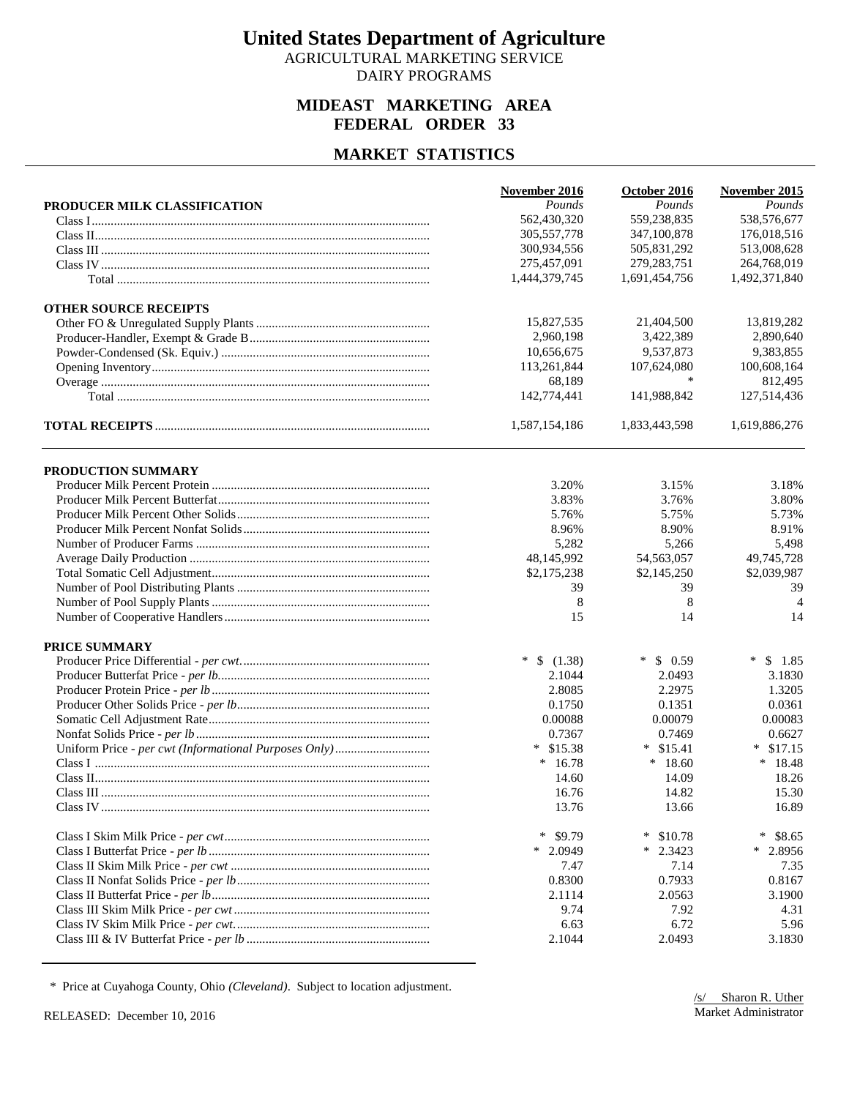AGRICULTURAL MARKETING SERVICE DAIRY PROGRAMS

#### **MIDEAST MARKETING AREA FEDERAL ORDER 33**

#### **MARKET STATISTICS**

|                              | November 2016      | October 2016     | November 2015     |
|------------------------------|--------------------|------------------|-------------------|
| PRODUCER MILK CLASSIFICATION | Pounds             | Pounds           | Pounds            |
|                              | 562,430,320        | 559,238,835      | 538,576,677       |
|                              | 305,557,778        | 347,100,878      | 176,018,516       |
|                              | 300,934,556        | 505,831,292      | 513,008,628       |
|                              | 275,457,091        | 279, 283, 751    | 264,768,019       |
|                              | 1,444,379,745      | 1,691,454,756    | 1,492,371,840     |
| <b>OTHER SOURCE RECEIPTS</b> |                    |                  |                   |
|                              | 15,827,535         | 21,404,500       | 13,819,282        |
|                              | 2,960,198          | 3,422,389        | 2.890.640         |
|                              | 10,656,675         | 9,537,873        | 9,383,855         |
|                              | 113,261,844        | 107,624,080      | 100,608,164       |
|                              | 68,189             | *                | 812,495           |
|                              | 142,774,441        | 141,988,842      | 127,514,436       |
|                              | 1,587,154,186      | 1,833,443,598    | 1,619,886,276     |
| PRODUCTION SUMMARY           |                    |                  |                   |
|                              | 3.20%              | 3.15%            | 3.18%             |
|                              | 3.83%              | 3.76%            | 3.80%             |
|                              | 5.76%              | 5.75%            | 5.73%             |
|                              | 8.96%              | 8.90%            | 8.91%             |
|                              | 5,282              | 5,266            | 5,498             |
|                              | 48,145,992         | 54,563,057       | 49,745,728        |
|                              | \$2,175,238        | \$2,145,250      | \$2,039,987       |
|                              | 39                 | 39               | 39                |
|                              | 8                  | 8                | $\overline{4}$    |
|                              | 15                 | 14               | 14                |
|                              |                    |                  |                   |
| <b>PRICE SUMMARY</b>         |                    |                  |                   |
|                              | $\ast$<br>\$(1.38) | $\ast$<br>\$0.59 | $\ast$<br>\$1.85  |
|                              | 2.1044             | 2.0493           | 3.1830            |
|                              | 2.8085             | 2.2975           | 1.3205            |
|                              | 0.1750             | 0.1351           | 0.0361            |
|                              | 0.00088            | 0.00079          | 0.00083           |
|                              | 0.7367             | 0.7469           | 0.6627            |
|                              | $*$ \$15.38        | $*$ \$15.41      | \$17.15<br>$\ast$ |
|                              | $*16.78$           | $*18.60$         | $*18.48$          |
|                              | 14.60              | 14.09            | 18.26             |
|                              | 16.76              | 14.82            | 15.30             |
|                              | 13.76              | 13.66            | 16.89             |
|                              | \$9.79<br>∗        | ∗<br>\$10.78     | $\ast$<br>\$8.65  |
|                              | $*$ 2.0949         | $\ast$<br>2.3423 | $*$ 2.8956        |
|                              | 7.47               | 7.14             | 7.35              |
|                              | 0.8300             | 0.7933           | 0.8167            |
|                              | 2.1114             | 2.0563           | 3.1900            |
|                              | 9.74               | 7.92             | 4.31              |
|                              | 6.63               | 6.72             | 5.96              |
|                              | 2.1044             | 2.0493           | 3.1830            |

\* Price at Cuyahoga County, Ohio *(Cleveland)*. Subject to location adjustment.